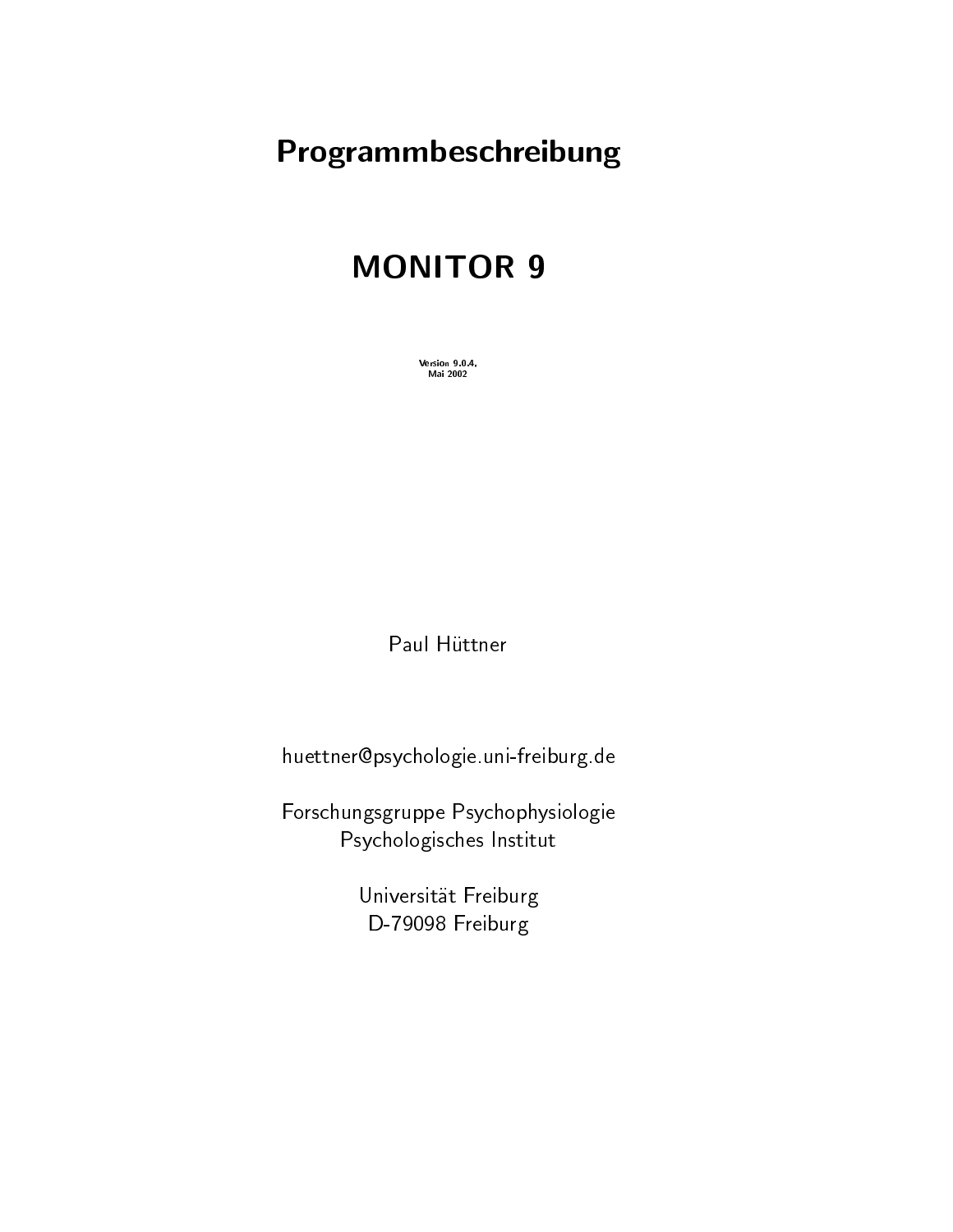## Programmbeschreibung

# **MONITOR 9**

Version 9.0.4,<br>Mai 2002

Paul Hüttner

huettner@psychologie.uni-freiburg.de

Forschungsgruppe Psychophysiologie Psychologisches Institut

> Universität Freiburg D-79098 Freiburg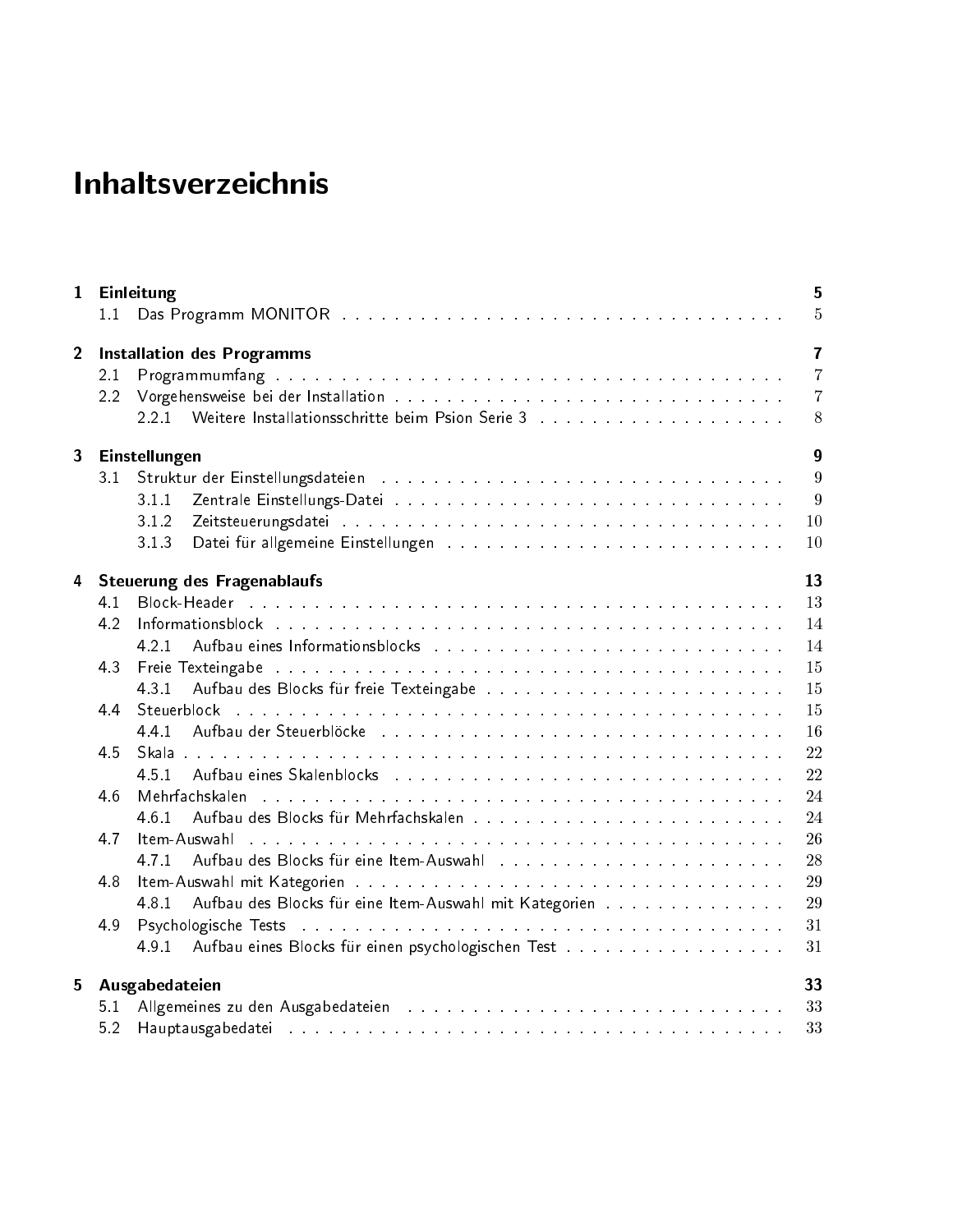# Inhaltsverzeichnis

| $\mathbf{1}$   |                                                     | Einleitung                                                                                                                                                                                                                           | 5              |  |  |  |  |  |  |  |  |  |  |  |
|----------------|-----------------------------------------------------|--------------------------------------------------------------------------------------------------------------------------------------------------------------------------------------------------------------------------------------|----------------|--|--|--|--|--|--|--|--|--|--|--|
|                | 1 <sub>1</sub>                                      |                                                                                                                                                                                                                                      | $\overline{5}$ |  |  |  |  |  |  |  |  |  |  |  |
| $\overline{2}$ | $\overline{7}$<br><b>Installation des Programms</b> |                                                                                                                                                                                                                                      |                |  |  |  |  |  |  |  |  |  |  |  |
|                | 2.1                                                 |                                                                                                                                                                                                                                      | $\overline{7}$ |  |  |  |  |  |  |  |  |  |  |  |
|                | 2.2                                                 |                                                                                                                                                                                                                                      | $\overline{7}$ |  |  |  |  |  |  |  |  |  |  |  |
|                |                                                     | Weitere Installationsschritte beim Psion Serie 3 [19] Neiter Allen and Theorem and Medition and Medition and Medition and Medition and Medition and Medition and Medition and Medition and Medition and Medition and Medition<br>221 | 8              |  |  |  |  |  |  |  |  |  |  |  |
| 3              |                                                     | Einstellungen                                                                                                                                                                                                                        | 9              |  |  |  |  |  |  |  |  |  |  |  |
|                | 31                                                  | Struktur der Einstellungsdateien and aller anderen anderen anderen anderen anderen anderen anderen anderen and                                                                                                                       | 9              |  |  |  |  |  |  |  |  |  |  |  |
|                |                                                     | 3.1.1<br>Zentrale Einstellungs-Datein and and an annual and an annual and an annual and an annual and an annual and an                                                                                                               | 9              |  |  |  |  |  |  |  |  |  |  |  |
|                |                                                     | 3 1 2                                                                                                                                                                                                                                | 10             |  |  |  |  |  |  |  |  |  |  |  |
|                |                                                     | Datei für allgemeine Einstellungen der ausgenanden ausgenanden ausgenanden ausgenanden ausgenanden ausgenanden<br>3 1 3                                                                                                              | 10             |  |  |  |  |  |  |  |  |  |  |  |
| 4              |                                                     | <b>Steuerung des Fragenablaufs</b>                                                                                                                                                                                                   | 13             |  |  |  |  |  |  |  |  |  |  |  |
|                | 4 <sub>1</sub>                                      |                                                                                                                                                                                                                                      | 13             |  |  |  |  |  |  |  |  |  |  |  |
|                | 42                                                  | Informationsblock the contract of the contract of the contract of the contract of the contract of the contract of the contract of the contract of the contract of the contract of the contract of the contract of the contract       | 14             |  |  |  |  |  |  |  |  |  |  |  |
|                |                                                     | 4 2 1                                                                                                                                                                                                                                | 14             |  |  |  |  |  |  |  |  |  |  |  |
|                | 43                                                  | Freie Texteingabe consultation and and a state of the constant and a state of the state of the state of the state of the state of the state of the state of the state of the state of the state of the state of the state of t       | 15             |  |  |  |  |  |  |  |  |  |  |  |
|                |                                                     | 431                                                                                                                                                                                                                                  | 15             |  |  |  |  |  |  |  |  |  |  |  |
|                | 4.4                                                 | Steuerblock                                                                                                                                                                                                                          | 15             |  |  |  |  |  |  |  |  |  |  |  |
|                |                                                     | Aufbau der Steuerblöcke einer einer einer einer einer einer einer einer eine<br>441                                                                                                                                                  | 16             |  |  |  |  |  |  |  |  |  |  |  |
|                | 45                                                  |                                                                                                                                                                                                                                      | 22             |  |  |  |  |  |  |  |  |  |  |  |
|                |                                                     | Aufbau eines Skalenblocks auf der aus der aufgegenden aufgegenden aufgegenden aufgegenden aufgegenden aufgegen<br>451                                                                                                                | 22             |  |  |  |  |  |  |  |  |  |  |  |
|                | 46                                                  |                                                                                                                                                                                                                                      | 24             |  |  |  |  |  |  |  |  |  |  |  |
|                |                                                     | 461                                                                                                                                                                                                                                  | 24             |  |  |  |  |  |  |  |  |  |  |  |
|                | 47                                                  |                                                                                                                                                                                                                                      | 26             |  |  |  |  |  |  |  |  |  |  |  |
|                |                                                     | Aufbau des Blocks für eine Item-Auswahl einer einer einer einer einer einer einer einer einer einer einer eine<br>471                                                                                                                | 28             |  |  |  |  |  |  |  |  |  |  |  |
|                | 4.8                                                 |                                                                                                                                                                                                                                      | 29             |  |  |  |  |  |  |  |  |  |  |  |
|                |                                                     | Aufbau des Blocks für eine Item-Auswahl mit Kategorien<br>481                                                                                                                                                                        | 29             |  |  |  |  |  |  |  |  |  |  |  |
|                | 49                                                  | Psychologische Tests (and all and all and all and all and all and all and all and all and all and all and all a                                                                                                                      | 31             |  |  |  |  |  |  |  |  |  |  |  |
|                |                                                     | 491                                                                                                                                                                                                                                  | 31             |  |  |  |  |  |  |  |  |  |  |  |
| 5              |                                                     | 33<br>Ausgabedateien                                                                                                                                                                                                                 |                |  |  |  |  |  |  |  |  |  |  |  |
|                | 51                                                  | Allgemeines zu den Ausgabedateien einer einer einer einer einer einer einer einer eine                                                                                                                                               |                |  |  |  |  |  |  |  |  |  |  |  |
|                | 5.2                                                 |                                                                                                                                                                                                                                      | 33             |  |  |  |  |  |  |  |  |  |  |  |
|                |                                                     |                                                                                                                                                                                                                                      |                |  |  |  |  |  |  |  |  |  |  |  |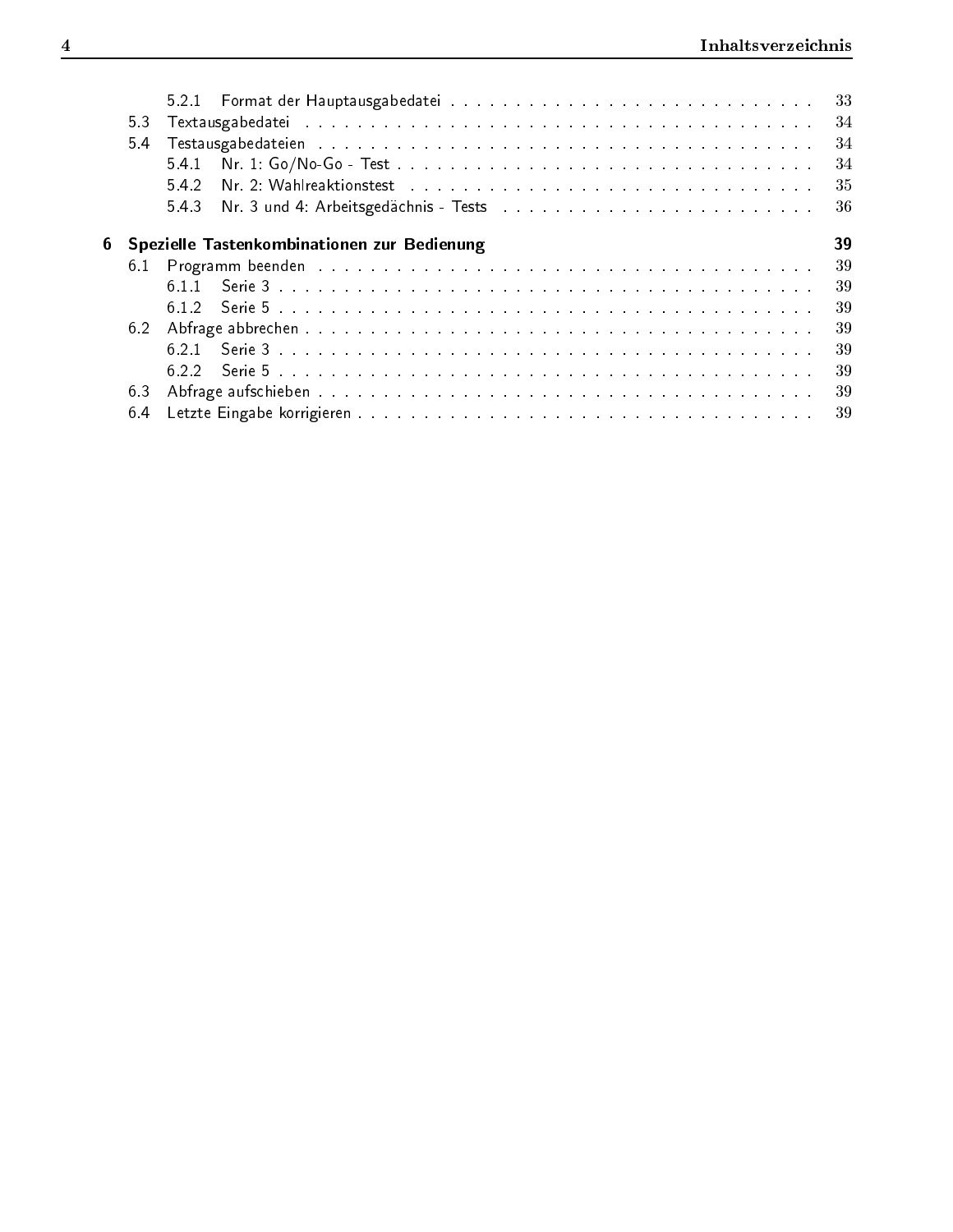|   | 53 |       |                                                                                                                                                                                                                                |     |
|---|----|-------|--------------------------------------------------------------------------------------------------------------------------------------------------------------------------------------------------------------------------------|-----|
|   | 54 |       |                                                                                                                                                                                                                                | 34  |
|   |    | 541   | - 34                                                                                                                                                                                                                           |     |
|   |    | 542   | Nr. 2: Wahlreaktionstest with a state of the state of the state of the state of the state of the state of the state of the state of the state of the state of the state of the state of the state of the state of the state of |     |
|   |    | 543   |                                                                                                                                                                                                                                | 36  |
| 6 |    |       | Spezielle Tastenkombinationen zur Bedienung                                                                                                                                                                                    | 39  |
|   |    |       |                                                                                                                                                                                                                                | -39 |
|   |    |       |                                                                                                                                                                                                                                | 39  |
|   |    |       |                                                                                                                                                                                                                                | -39 |
|   |    |       |                                                                                                                                                                                                                                | 39  |
|   |    |       |                                                                                                                                                                                                                                | 39  |
|   |    | 6.2.2 |                                                                                                                                                                                                                                | -39 |
|   | 63 |       |                                                                                                                                                                                                                                |     |
|   | 64 |       |                                                                                                                                                                                                                                |     |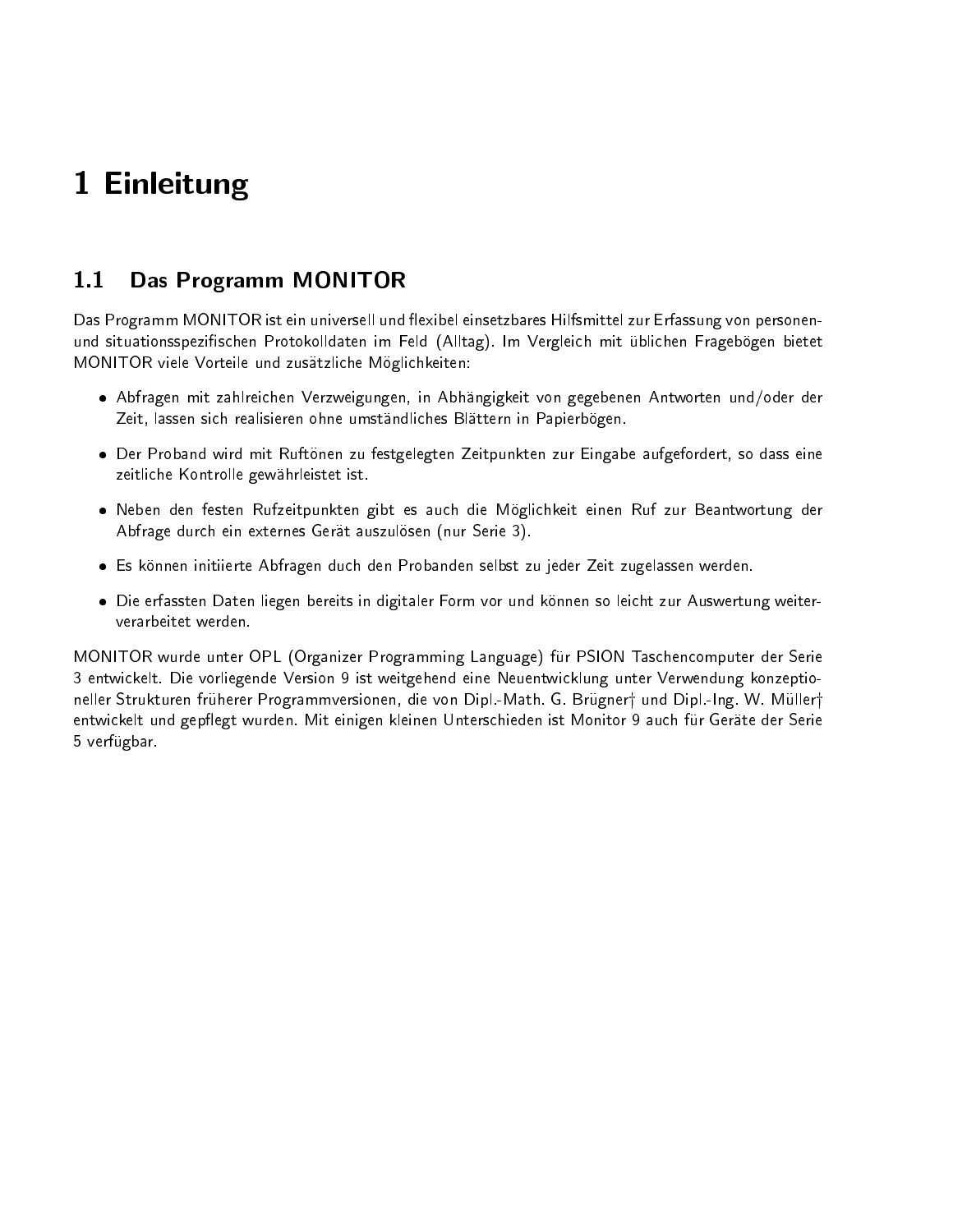# 1 Einleitung

### $1.1$ Das Programm MONITOR

Das Programm MONITOR ist ein universell und flexibel einsetzbares Hilfsmittel zur Erfassung von personenund situationsspezifischen Protokolldaten im Feld (Alltag). Im Vergleich mit üblichen Fragebögen bietet MONITOR viele Vorteile und zusätzliche Möglichkeiten:

- Abfragen mit zahlreichen Verzweigungen, in Abhängigkeit von gegebenen Antworten und/oder der Zeit, lassen sich realisieren ohne umständliches Blättern in Papierbögen.
- Der Proband wird mit Ruftönen zu festgelegten Zeitpunkten zur Eingabe aufgefordert, so dass eine zeitliche Kontrolle gewährleistet ist.
- . Neben den festen Rufzeitpunkten gibt es auch die Möglichkeit einen Ruf zur Beantwortung der Abfrage durch ein externes Gerät auszulösen (nur Serie 3).
- Es können initiierte Abfragen duch den Probanden selbst zu jeder Zeit zugelassen werden.
- . Die erfassten Daten liegen bereits in digitaler Form vor und können so leicht zur Auswertung weiterverarbeitet werden.

MONITOR wurde unter OPL (Organizer Programming Language) für PSION Taschencomputer der Serie 3 entwickelt. Die vorliegende Version 9 ist weitgehend eine Neuentwicklung unter Verwendung konzeptioneller Strukturen früherer Programmversionen, die von Dipl.-Math. G. Brügner† und Dipl.-Ing. W. Müller† entwickelt und gepflegt wurden. Mit einigen kleinen Unterschieden ist Monitor 9 auch für Geräte der Serie 5 verfugbar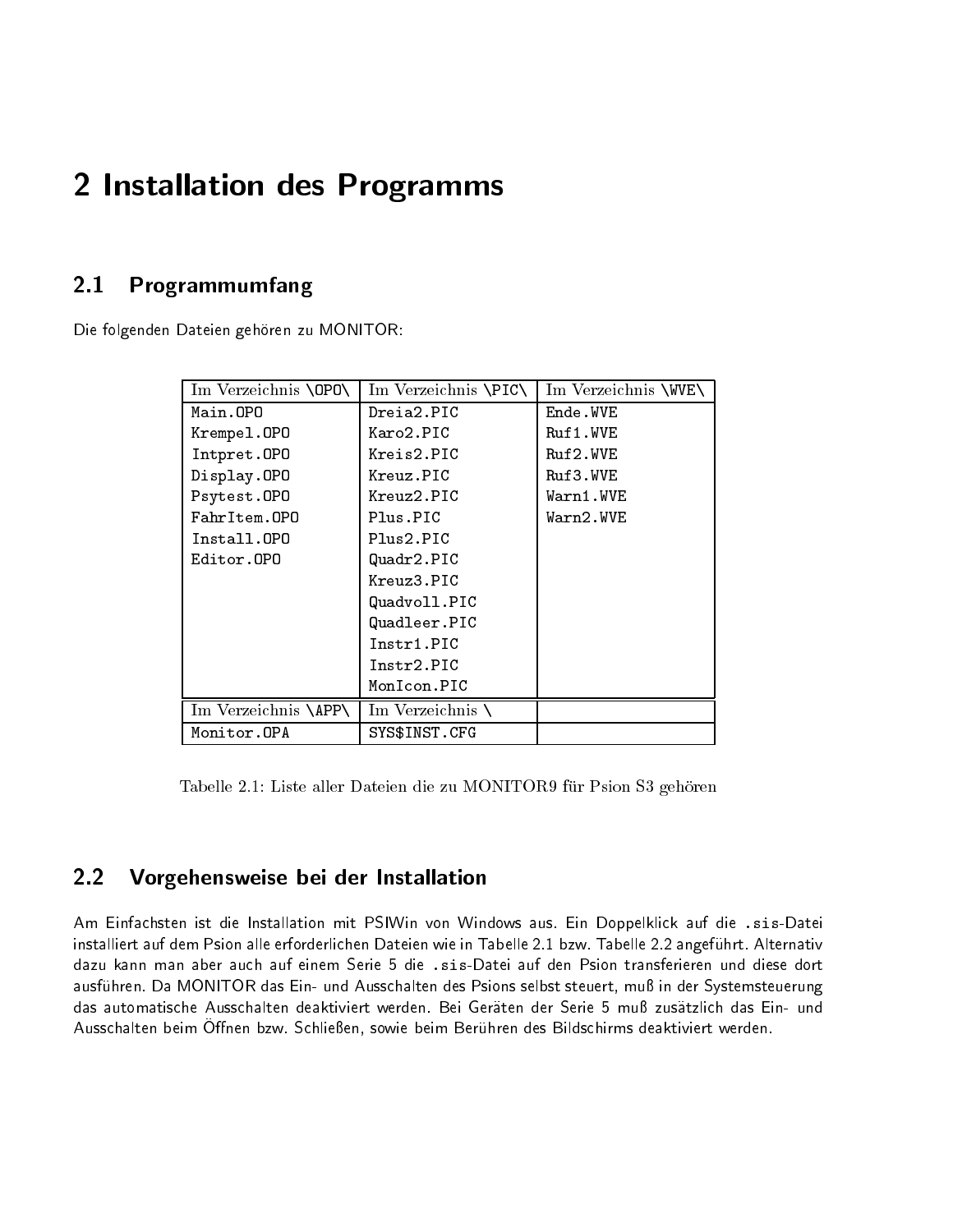## 2 Installation des Programms

### Programmumfang  $2.1$

Die folgenden Dateien gehören zu MONITOR:

| Im Verzeichnis \0P0\ | Im Verzeichnis \PIC\ | Im Verzeichnis \WWE\ |
|----------------------|----------------------|----------------------|
| Main.OPO             | Dreia2.PIC           | Ende.WVE             |
| Krempel.OPO          | Karo2.PIC            | Ruf1.WVE             |
| Intpret.0P0          | Kreis2.PTC           | Ruf2.WVE             |
| Display.0PO          | Kreuz.PIC            | Ruf3.WVE             |
| Psytest.0P0          | Kreuz2.PIC           | Warn1.WVE            |
| FahrItem.0P0         | Plus.PIC             | Warn2.WVE            |
| Install.0PO          | Plus2.PIC            |                      |
| Editor.0P0           | Quadr2.FIC           |                      |
|                      | $K$ reuz $3.$ PT $C$ |                      |
|                      | Quadvoll.PIC         |                      |
|                      | Quadleer.PIC         |                      |
|                      | Instr1.PIC           |                      |
|                      | Instr2.PIC           |                      |
|                      | MonIcon.PIC          |                      |
| Im Verzeichnis \APP\ | Im Verzeichnis       |                      |
| Monitor.OPA          | SYS\$INST.CFG        |                      |

Tabelle 2.1: Liste aller Dateien die zu MONITOR9 für Psion S3 gehören

### $2.2$ Vorgehensweise bei der Installation

Am Einfachsten ist die Installation mit PSIWin von Windows aus. Ein Doppelklick auf die .sis-Datei installiert auf dem Psion alle erforderlichen Dateien wie in Tabelle 2.1 bzw. Tabelle 2.2 angeführt. Alternativ dazu kann man aber auch auf einem Serie 5 die .sis-Datei auf den Psion transferieren und diese dort ausführen. Da MONITOR das Ein- und Ausschalten des Psions selbst steuert, muß in der Systemsteuerung das automatische Ausschalten deaktiviert werden. Bei Geräten der Serie 5 muß zusätzlich das Ein- und Ausschalten beim Öffnen bzw. Schließen, sowie beim Berühren des Bildschirms deaktiviert werden.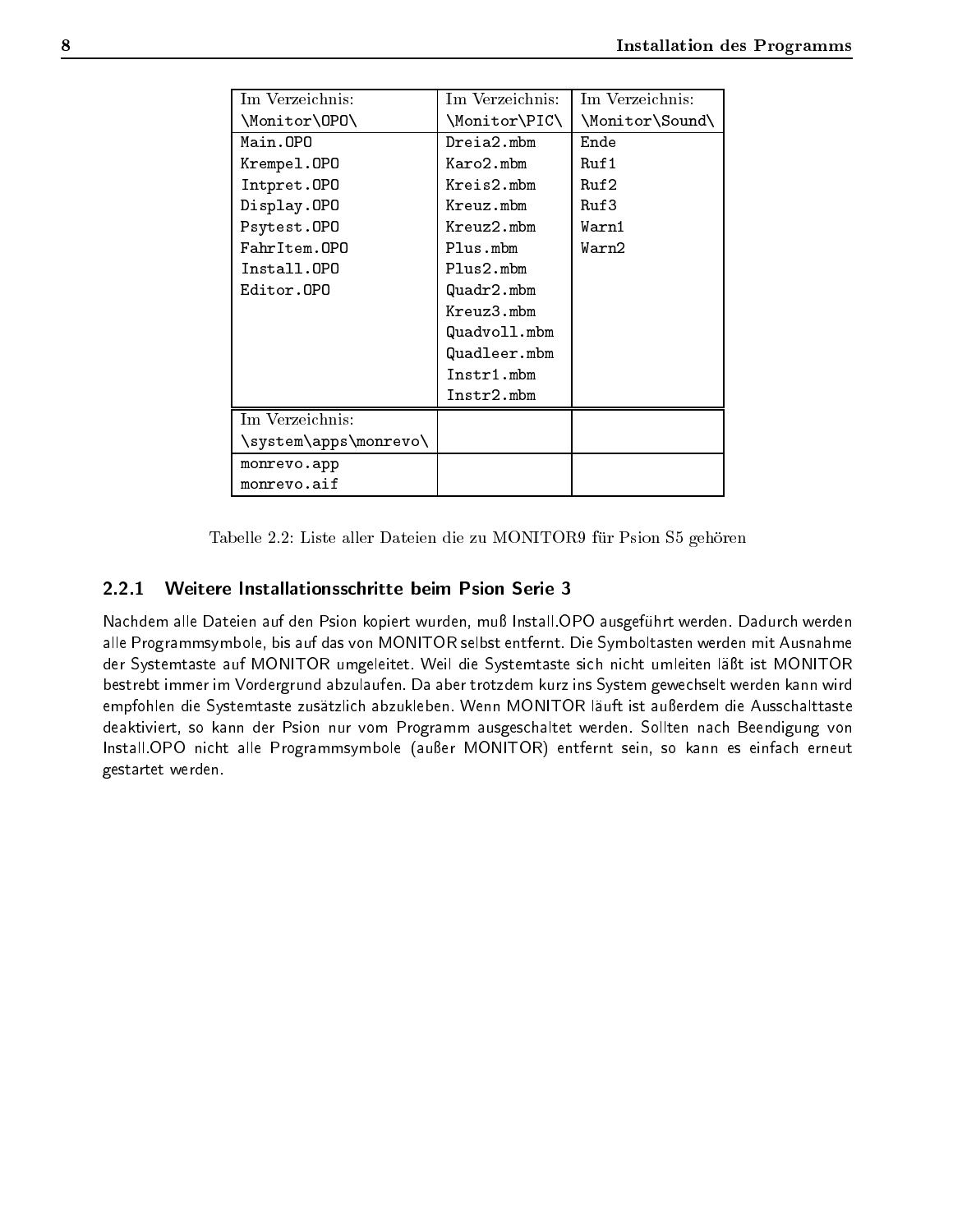| Im Verzeichnis:       | Im Verzeichnis:    | Im Verzeichnis:                |
|-----------------------|--------------------|--------------------------------|
| \Monitor\OPO\         | \Monitor\PIC\      | \Monitor\Sound\                |
| Main.OPO              | Dreia2.mbm         | Ende                           |
| Krempel.OPO           | Karo2.mbm          | R <sub>11</sub> f <sub>1</sub> |
| Intpret.OPO           | Kreis2.mbm         | Ruf2                           |
| Display.OPO           | Kreuz.mbm          | Ruf3                           |
| Psytest.OPO           | $K$ reuz $2$ . mbm | Warn1                          |
| FahrItem.0P0          | Plus.mbm           | Warn2                          |
| Install.0P0           | Plus2.mbm          |                                |
| Editor.OPO            | Quadr2.mbm         |                                |
|                       | Kreuz3.mbm         |                                |
|                       | Quadvoll.mbm       |                                |
|                       | Quadleer.mbm       |                                |
|                       | Instr1.mbm         |                                |
|                       | Instr2.mbm         |                                |
| Im Verzeichnis:       |                    |                                |
| \system\apps\monrevo\ |                    |                                |
| monrevo.app           |                    |                                |
| monrevo.aif           |                    |                                |

Tabelle 2.2: Liste aller Dateien die zu MONITOR9 für Psion S5 gehören

#### 2.2.1 Weitere Installationsschritte beim Psion Serie 3

Nachdem alle Dateien auf den Psion kopiert wurden, muß Install. OPO ausgeführt werden. Dadurch werden alle Programmsymbole, bis auf das von MONITOR selbst entfernt. Die Symboltasten werden mit Ausnahme der Systemtaste auf MONITOR umgeleitet. Weil die Systemtaste sich nicht umleiten läßt ist MONITOR bestrebt immer im Vordergrund abzulaufen. Da aber trotzdem kurz ins System gewechselt werden kann wird empfohlen die Systemtaste zusätzlich abzukleben. Wenn MONITOR läuft ist außerdem die Ausschalttaste deaktiviert, so kann der Psion nur vom Programm ausgeschaltet werden. Sollten nach Beendigung von Install.OPO nicht alle Programmsymbole (außer MONITOR) entfernt sein, so kann es einfach erneut gestartet werden.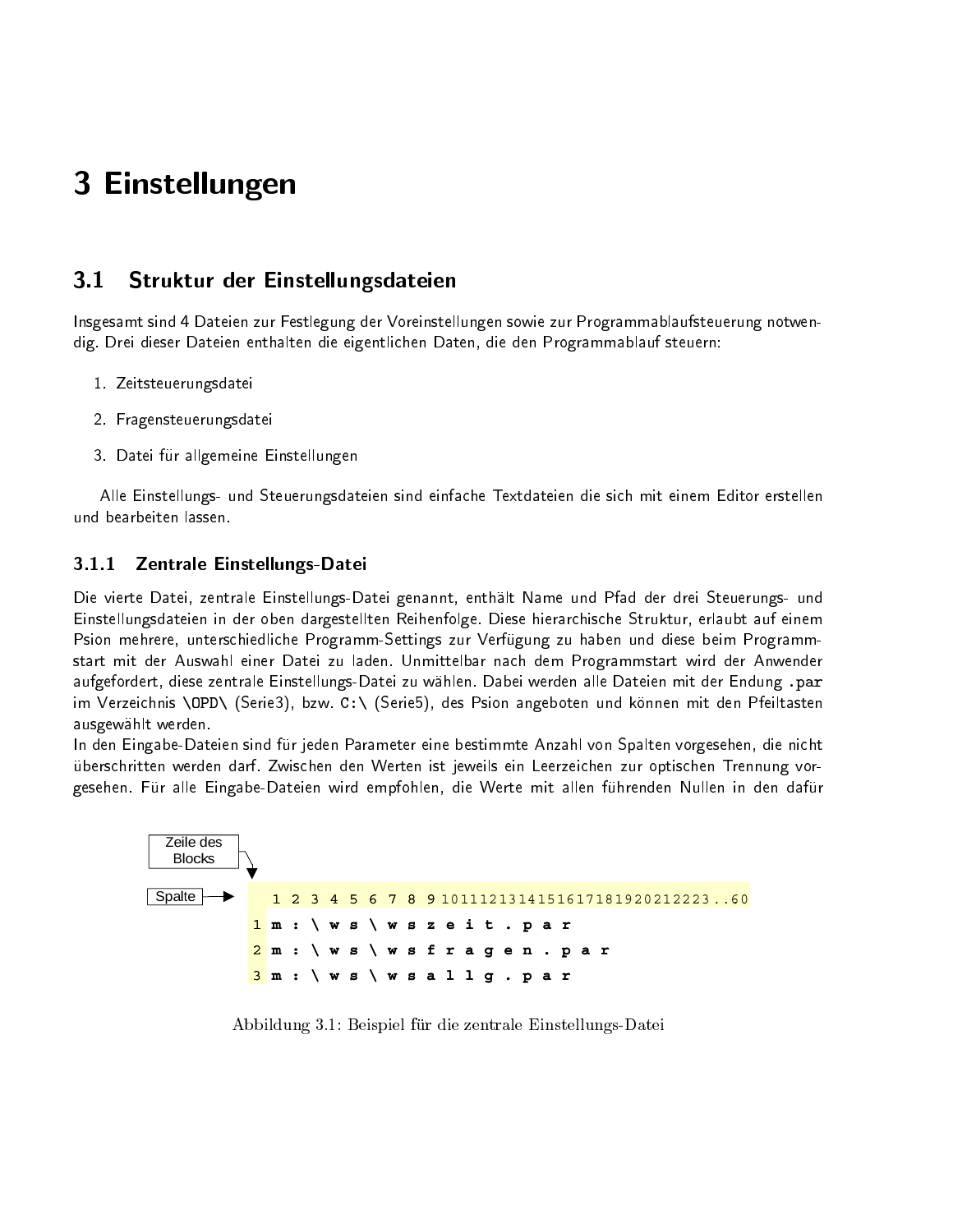## 3 Einstellungen

### $3.1$ Struktur der Einstellungsdateien

Insgesamt sind 4 Dateien zur Festlegung der Voreinstellungen sowie zur Programmablaufsteuerung notwendig. Drei dieser Dateien enthalten die eigentlichen Daten, die den Programmablauf steuern:

- 1. Zeitsteuerungsdatei
- 2. Fragensteuerungsdatei
- 3. Datei für allgemeine Einstellungen

Alle Einstellungs- und Steuerungsdateien sind einfache Textdateien die sich mit einem Editor erstellen und bearbeiten lassen.

#### $3.1.1$ Zentrale Einstellungs-Datei

Die vierte Datei, zentrale Einstellungs-Datei genannt, enthält Name und Pfad der drei Steuerungs- und Einstellungsdateien in der oben dargestellten Reihenfolge. Diese hierarchische Struktur, erlaubt auf einem Psion mehrere, unterschiedliche Programm-Settings zur Verfügung zu haben und diese beim Programmstart mit der Auswahl einer Datei zu laden. Unmittelbar nach dem Programmstart wird der Anwender aufgefordert, diese zentrale Einstellungs-Datei zu wählen. Dabei werden alle Dateien mit der Endung. par im Verzeichnis \OPD\ (Serie3), bzw. C: \ (Serie5), des Psion angeboten und können mit den Pfeiltasten ausgewählt werden.

In den Eingabe-Dateien sind für jeden Parameter eine bestimmte Anzahl von Spalten vorgesehen, die nicht überschritten werden darf. Zwischen den Werten ist jeweils ein Leerzeichen zur optischen Trennung vorgesehen. Für alle Eingabe-Dateien wird empfohlen, die Werte mit allen führenden Nullen in den dafür



Abbildung 3.1: Beispiel für die zentrale Einstellungs-Datei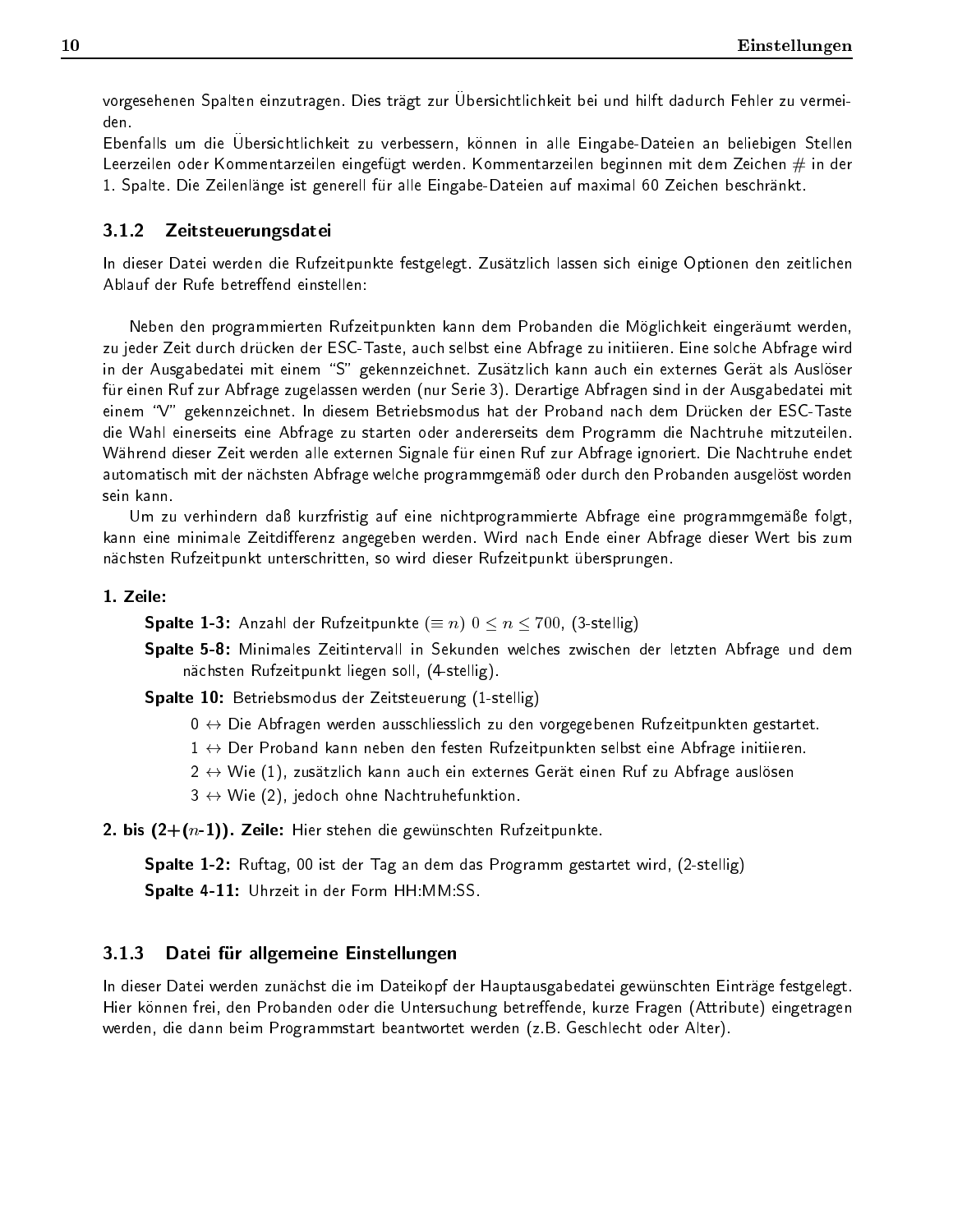vorgesehenen Spalten einzutragen. Dies trägt zur Übersichtlichkeit bei und hilft dadurch Fehler zu vermeiden.

Ebenfalls um die Übersichtlichkeit zu verbessern, können in alle Eingabe-Dateien an beliebigen Stellen Leerzeilen oder Kommentarzeilen eingefügt werden. Kommentarzeilen beginnen mit dem Zeichen # in der 1. Spalte. Die Zeilenlänge ist generell für alle Eingabe-Dateien auf maximal 60 Zeichen beschränkt.

#### $3.1.2$ Zeitsteuerungsdatei

In dieser Datei werden die Rufzeitpunkte festgelegt. Zusätzlich lassen sich einige Optionen den zeitlichen Ablauf der Rufe betreffend einstellen:

Neben den programmierten Rufzeitpunkten kann dem Probanden die Möglichkeit eingeräumt werden, zu jeder Zeit durch drücken der ESC-Taste, auch selbst eine Abfrage zu initiieren. Eine solche Abfrage wird in der Ausgabedatei mit einem "S" gekennzeichnet. Zusätzlich kann auch ein externes Gerät als Auslöser für einen Ruf zur Abfrage zugelassen werden (nur Serie 3). Derartige Abfragen sind in der Ausgabedatei mit einem "V" gekennzeichnet. In diesem Betriebsmodus hat der Proband nach dem Drücken der ESC-Taste die Wahl einerseits eine Abfrage zu starten oder andererseits dem Programm die Nachtruhe mitzuteilen. Während dieser Zeit werden alle externen Signale für einen Ruf zur Abfrage ignoriert. Die Nachtruhe endet automatisch mit der nächsten Abfrage welche programmgemäß oder durch den Probanden ausgelöst worden sein kann.

Um zu verhindern daß kurzfristig auf eine nichtprogrammierte Abfrage eine programmgemäße folgt, kann eine minimale Zeitdifferenz angegeben werden. Wird nach Ende einer Abfrage dieser Wert bis zum nächsten Rufzeitpunkt unterschritten, so wird dieser Rufzeitpunkt übersprungen.

### 1 Zeile:

**Spalte 1-3:** Anzahl der Rufzeitpunkte ( $\equiv n$ )  $0 \le n \le 700$ , (3-stellig)

Spalte 5-8: Minimales Zeitintervall in Sekunden welches zwischen der letzten Abfrage und dem nächsten Rufzeitpunkt liegen soll, (4-stellig).

**Spalte 10**: Betriebsmodus der Zeitsteuerung (1-stellig)

- $0 \leftrightarrow$  Die Abfragen werden ausschliesslich zu den vorgegebenen Rufzeitpunkten gestartet.
- $1 \leftrightarrow$  Der Proband kann neben den festen Rufzeitpunkten selbst eine Abfrage initiieren.
- $2 \leftrightarrow$  Wie (1), zusätzlich kann auch ein externes Gerät einen Ruf zu Abfrage auslösen
- $3 \leftrightarrow$  Wie (2), jedoch ohne Nachtruhefunktion.

2. bis  $(2+(n-1))$ . Zeile: Hier stehen die gewünschten Rufzeitpunkte.

Spalte 1-2: Ruftag, 00 ist der Tag an dem das Programm gestartet wird, (2-stellig) Spalte 4-11: Uhrzeit in der Form HH: MM:SS.

#### $3.1.3$ Datei für allgemeine Einstellungen

In dieser Datei werden zunächst die im Dateikopf der Hauptausgabedatei gewünschten Einträge festgelegt. Hier können frei, den Probanden oder die Untersuchung betreffende, kurze Fragen (Attribute) eingetragen werden, die dann beim Programmstart beantwortet werden (z.B. Geschlecht oder Alter).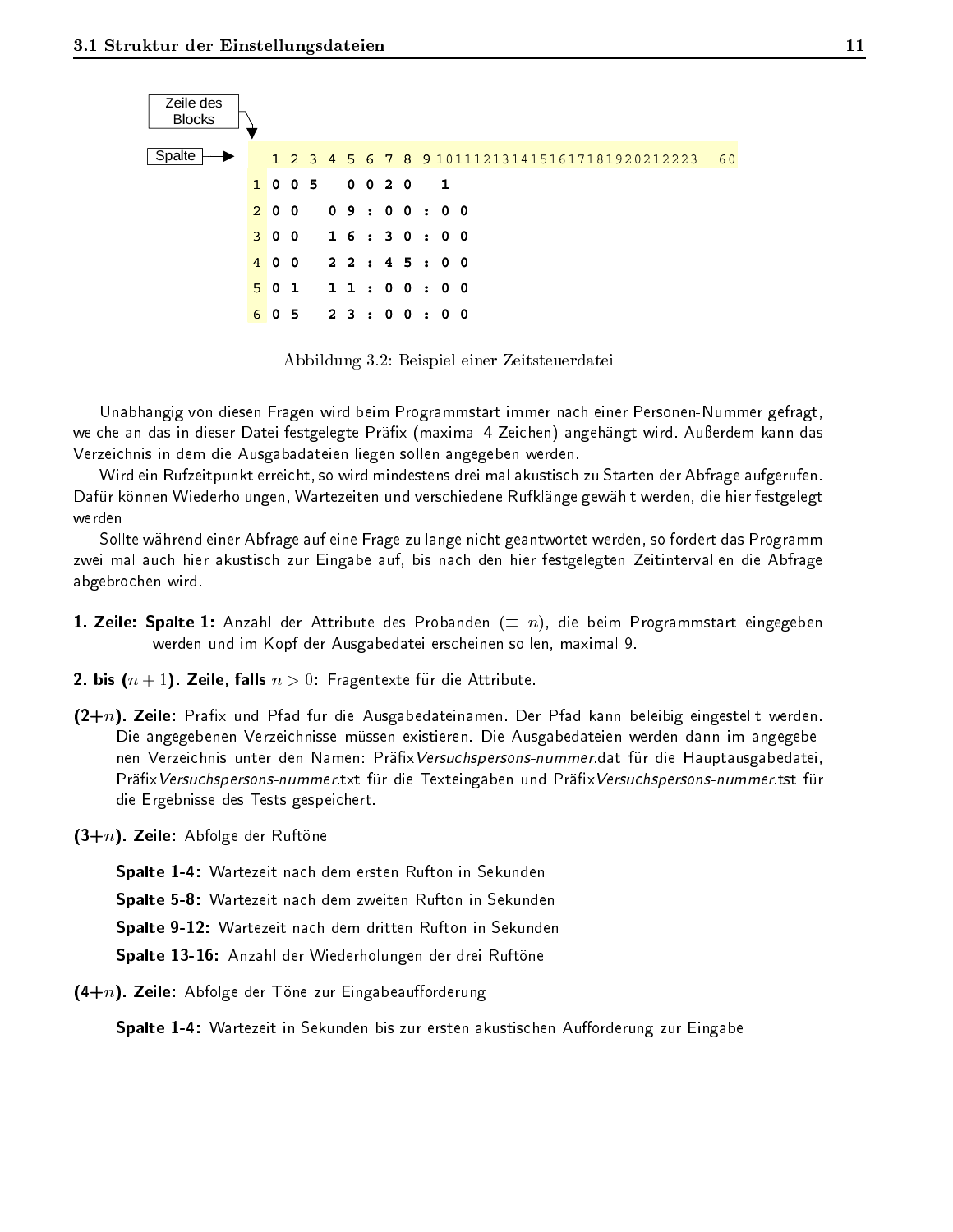| Zeile des<br><b>Blocks</b> |     |      |  |  |      |  |                |                                                      |  |
|----------------------------|-----|------|--|--|------|--|----------------|------------------------------------------------------|--|
| Spalte                     |     |      |  |  |      |  |                | 1 2 3 4 5 6 7 8 9 1011121314151617181920212223<br>60 |  |
|                            |     | 1005 |  |  | 0020 |  | $\blacksquare$ |                                                      |  |
|                            | 200 |      |  |  |      |  | 0.9:0.0:0.0    |                                                      |  |
|                            | 300 |      |  |  |      |  | 16:30:00       |                                                      |  |
|                            | 400 |      |  |  |      |  | 22:45:00       |                                                      |  |
|                            | 501 |      |  |  |      |  | 11:00:00       |                                                      |  |
|                            | 605 |      |  |  |      |  | 23:00:00       |                                                      |  |

Abbildung 3.2: Beispiel einer Zeitsteuerdatei

Unabhängig von diesen Fragen wird beim Programmstart immer nach einer Personen-Nummer gefragt, welche an das in dieser Datei festgelegte Präfix (maximal 4 Zeichen) angehängt wird. Außerdem kann das Verzeichnis in dem die Ausgabadateien liegen sollen angegeben werden.

Wird ein Rufzeitpunkt erreicht, so wird mindestens drei mal akustisch zu Starten der Abfrage aufgerufen. Dafür können Wiederholungen, Wartezeiten und verschiedene Rufklänge gewählt werden, die hier festgelegt werden

Sollte während einer Abfrage auf eine Frage zu lange nicht geantwortet werden, so fordert das Programm zwei mal auch hier akustisch zur Eingabe auf, bis nach den hier festgelegten Zeitintervallen die Abfrage abgebrochen wird.

- 1. Zeile: Spalte 1: Anzahl der Attribute des Probanden ( $\equiv n$ ), die beim Programmstart eingegeben werden und im Kopf der Ausgabedatei erscheinen sollen, maximal 9.
- 2. bis  $(n + 1)$ . Zeile, falls  $n > 0$ : Fragentexte für die Attribute.
- $(2+n)$ . Zeile: Präfix und Pfad für die Ausgabedateinamen. Der Pfad kann beleibig eingestellt werden. Die angegebenen Verzeichnisse müssen existieren. Die Ausgabedateien werden dann im angegebenen Verzeichnis unter den Namen: Präfix Versuchspersons-nummer.dat für die Hauptausgabedatei, Präfix Versuchspersons-nummer.txt für die Texteingaben und Präfix Versuchspersons-nummer.tst für die Ergebnisse des Tests gespeichert.
- $(3+n)$ . Zeile: Abfolge der Ruftone
	- Spalte 1-4: Wartezeit nach dem ersten Rufton in Sekunden
	- Spalte 5-8: Wartezeit nach dem zweiten Rufton in Sekunden

Spalte 9-12: Wartezeit nach dem dritten Rufton in Sekunden

Spalte 13-16: Anzahl der Wiederholungen der drei Ruftöne

 $(4+n)$ . Zeile: Abfolge der Töne zur Eingabeaufforderung

Spalte 1-4: Wartezeit in Sekunden bis zur ersten akustischen Aufforderung zur Eingabe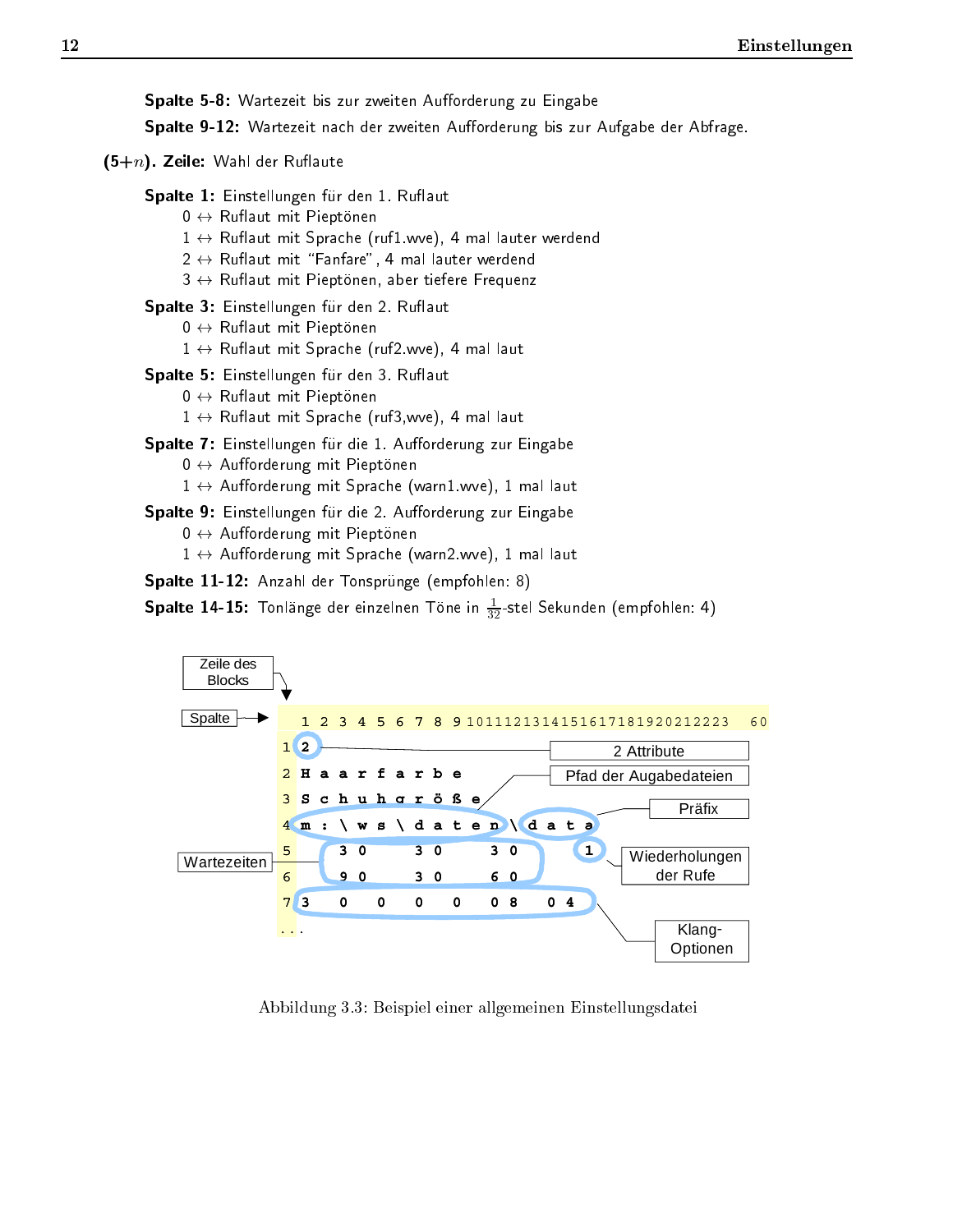Spalte 5-8: Wartezeit bis zur zweiten Aufforderung zu Eingabe

Spalte 9-12: Wartezeit nach der zweiten Aufforderung bis zur Aufgabe der Abfrage.

 $(5+n)$ . Zeile: Wahl der Ruflaute

Spalte 1: Einstellungen für den 1. Ruflaut

- $0 \leftrightarrow$  Ruflaut mit Pieptonen
- $1 \leftrightarrow$  Ruflaut mit Sprache (ruf1.wve), 4 mal lauter werdend
- $2 \leftrightarrow$  Ruflaut mit "Fanfare", 4 mal lauter werdend
- $3 \leftrightarrow$  Ruflaut mit Pieptonen, aber tiefere Frequenz
- Spalte 3: Einstellungen für den 2. Ruflaut
	- $0 \leftrightarrow$  Ruflaut mit Pieptönen
	- $1 \leftrightarrow$  Ruflaut mit Sprache (ruf2 wve), 4 mal laut

Spalte 5: Einstellungen für den 3. Ruflaut

- $0 \leftrightarrow$  Ruflaut mit Pieptonen
- $1 \leftrightarrow$  Ruflaut mit Sprache (ruf3, wve), 4 mal laut
- Spalte 7: Einstellungen für die 1. Aufforderung zur Eingabe
	- $0 \leftrightarrow$  Aufforderung mit Pieptonen
	- $1 \leftrightarrow$  Aufforderung mit Sprache (warn1.wve), 1 mal laut
- Spalte 9: Einstellungen für die 2. Aufforderung zur Eingabe
	- $0 \leftrightarrow$  Aufforderung mit Pieptonen
	- $1 \leftrightarrow$  Aufforderung mit Sprache (warn2 wve), 1 mal laut

Spalte 11-12: Anzahl der Tonsprünge (empfohlen: 8)

**Spalte 14-15:** Tonlänge der einzelnen Töne in  $\frac{1}{32}$ -stel Sekunden (empfohlen: 4)



Abbildung 3.3: Beispiel einer allgemeinen Einstellungsdatei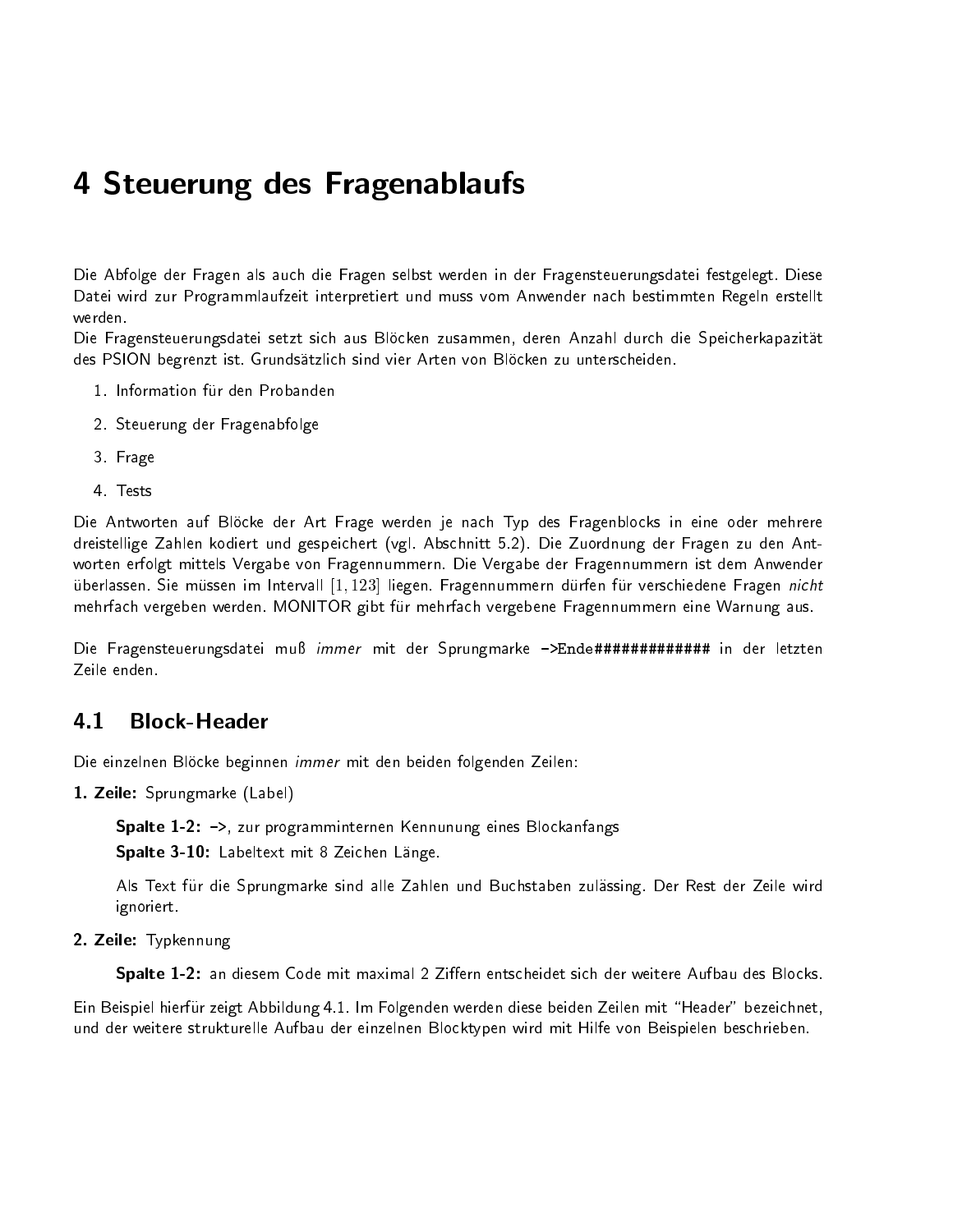## 4 Steuerung des Fragenablaufs

Die Abfolge der Fragen als auch die Fragen selbst werden in der Fragensteuerungsdatei festgelegt. Diese Datei wird zur Programmlaufzeit interpretiert und muss vom Anwender nach bestimmten Regeln erstellt werden.

Die Fragensteuerungsdatei setzt sich aus Blöcken zusammen, deren Anzahl durch die Speicherkapazität des PSION begrenzt ist. Grundsätzlich sind vier Arten von Blöcken zu unterscheiden.

- 1. Information für den Probanden
- 2. Steuerung der Fragenabfolge
- 3 Frage
- 4 Tests

Die Antworten auf Blöcke der Art Frage werden je nach Typ des Fragenblocks in eine oder mehrere dreistellige Zahlen kodiert und gespeichert (vgl. Abschnitt 5.2). Die Zuordnung der Fragen zu den Antworten erfolgt mittels Vergabe von Fragennummern. Die Vergabe der Fragennummern ist dem Anwender überlassen. Sie müssen im Intervall [1, 123] liegen. Fragennummern dürfen für verschiedene Fragen nicht mehrfach vergeben werden. MONITOR gibt für mehrfach vergebene Fragennummern eine Warnung aus.

Die Fragensteuerungsdatei muß immer mit der Sprungmarke ->Ende############# in der letzten Zeile enden.

#### $4.1$ **Block-Header**

Die einzelnen Blöcke beginnen immer mit den beiden folgenden Zeilen:

1. Zeile: Sprungmarke (Label)

Spalte 1-2: ->, zur programminternen Kennunung eines Blockanfangs

Spalte 3-10: Labeltext mit 8 Zeichen Länge.

Als Text für die Sprungmarke sind alle Zahlen und Buchstaben zulässing. Der Rest der Zeile wird ignoriert

2. Zeile: Typkennung

Spalte 1-2: an diesem Code mit maximal 2 Ziffern entscheidet sich der weitere Aufbau des Blocks.

Ein Beispiel hierfür zeigt Abbildung 4.1. Im Folgenden werden diese beiden Zeilen mit "Header" bezeichnet, und der weitere strukturelle Aufbau der einzelnen Blocktypen wird mit Hilfe von Beispielen beschrieben.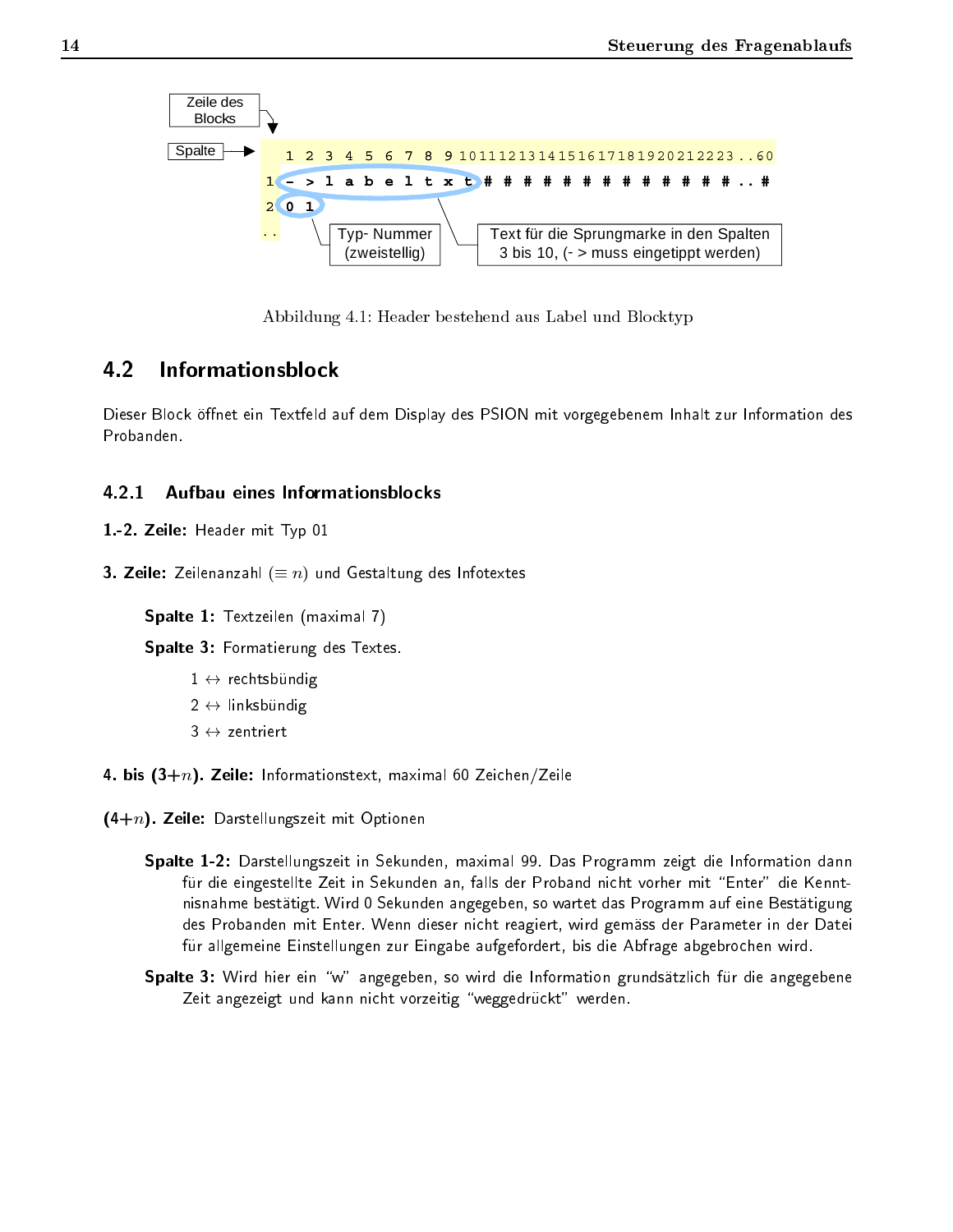

Abbildung 4.1: Header bestehend aus Label und Blocktyp

#### $4.2$ **Informationsblock**

Dieser Block öffnet ein Textfeld auf dem Display des PSION mit vorgegebenem Inhalt zur Information des Probanden.

#### $421$ Aufbau eines Informationsblocks

- 1.-2. Zeile: Header mit Typ 01
- **3. Zeile:** Zeilenanzahl ( $\equiv n$ ) und Gestaltung des Infotextes

Spalte 1: Textzeilen (maximal 7)

Spalte 3: Formatierung des Textes.

- $1 \leftrightarrow$  rechtsbundig
- $2 \leftrightarrow$  linksbundig
- $3 \leftrightarrow$  zentriert
- 4. bis  $(3+n)$ . Zeile: Informationstext, maximal 60 Zeichen/Zeile

 $(4+n)$ . Zeile: Darstellungszeit mit Optionen

- Spalte 1-2: Darstellungszeit in Sekunden, maximal 99. Das Programm zeigt die Information dann für die eingestellte Zeit in Sekunden an, falls der Proband nicht vorher mit "Enter" die Kenntnisnahme bestätigt. Wird 0 Sekunden angegeben, so wartet das Programm auf eine Bestätigung des Probanden mit Enter. Wenn dieser nicht reagiert, wird gemäss der Parameter in der Datei für allgemeine Einstellungen zur Eingabe aufgefordert, bis die Abfrage abgebrochen wird.
- Spalte 3: Wird hier ein "w" angegeben, so wird die Information grundsätzlich für die angegebene Zeit angezeigt und kann nicht vorzeitig "weggedrückt" werden.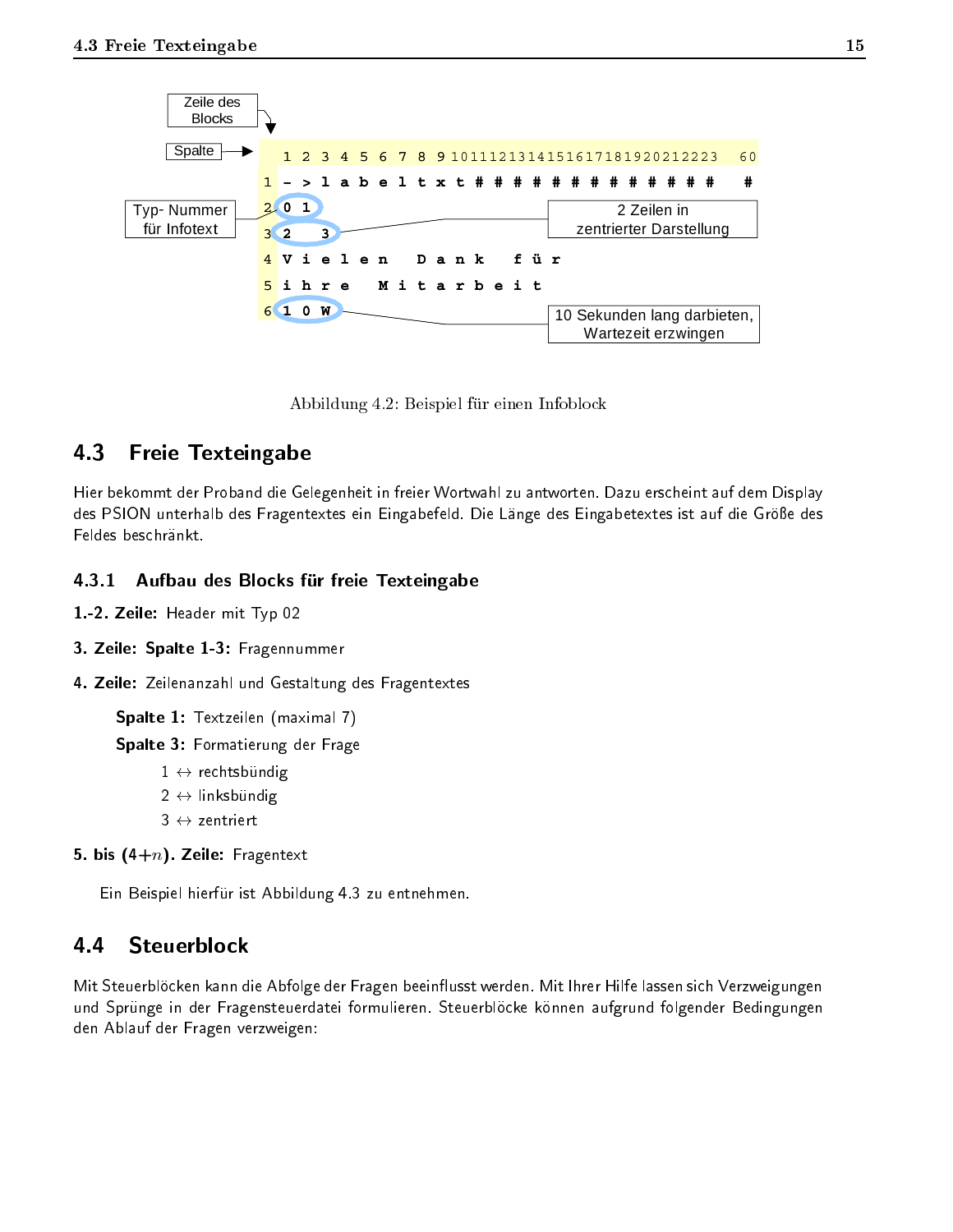

Abbildung 4.2: Beispiel für einen Infoblock

#### **Freie Texteingabe**  $4.3$

Hier bekommt der Proband die Gelegenheit in freier Wortwahl zu antworten. Dazu erscheint auf dem Display des PSION unterhalb des Fragentextes ein Eingabefeld. Die Länge des Eingabetextes ist auf die Größe des Feldes beschränkt.

#### $4.3.1$ Aufbau des Blocks für freie Texteingabe

- 1.-2. Zeile: Header mit Typ 02
- 3. Zeile: Spalte 1-3: Fragennummer
- 4. Zeile: Zeilenanzahl und Gestaltung des Fragentextes
	- Spalte 1: Textzeilen (maximal 7)

Spalte 3: Formatierung der Frage

- $1 \leftrightarrow$  rechtsbundig
- $2 \leftrightarrow$  linksbundig
- $3 \leftrightarrow$  zentriert
- 5. bis  $(4+n)$ . Zeile: Fragentext

Ein Beispiel hierfür ist Abbildung 4.3 zu entnehmen.

#### 4.4 **Steuerblock**

Mit Steuerblöcken kann die Abfolge der Fragen beeinflusst werden. Mit Ihrer Hilfe lassen sich Verzweigungen und Sprünge in der Fragensteuerdatei formulieren. Steuerblöcke können aufgrund folgender Bedingungen den Ablauf der Fragen verzweigen: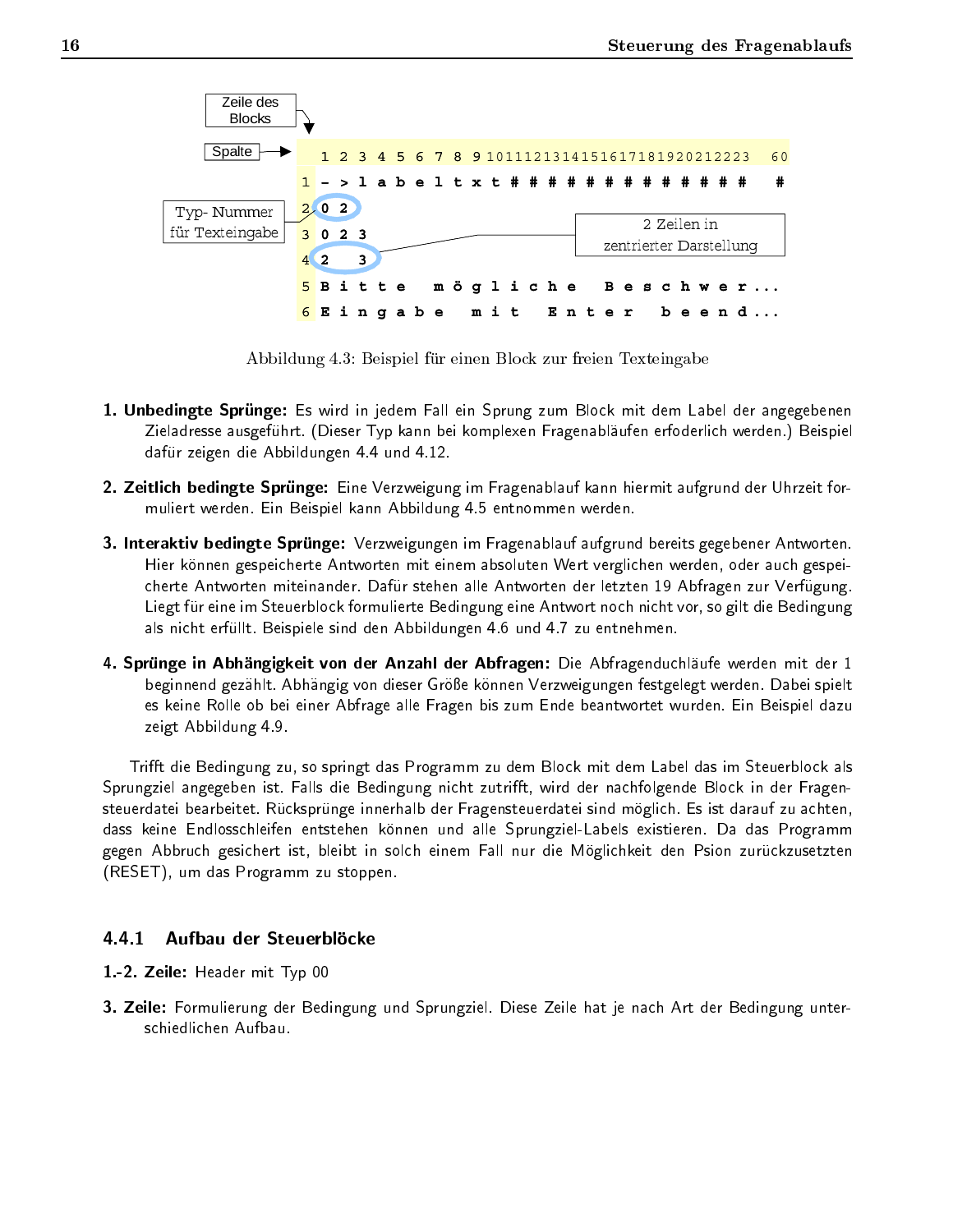

Abbildung 4.3: Beispiel für einen Block zur freien Texteingabe

- 1. Unbedingte Sprünge: Es wird in jedem Fall ein Sprung zum Block mit dem Label der angegebenen Zieladresse ausgeführt. (Dieser Typ kann bei komplexen Fragenabläufen erfoderlich werden.) Beispiel dafür zeigen die Abbildungen 4.4 und 4.12.
- 2. Zeitlich bedingte Sprünge: Eine Verzweigung im Fragenablauf kann hiermit aufgrund der Uhrzeit formuliert werden. Ein Beispiel kann Abbildung 4.5 entnommen werden.
- 3. Interaktiv bedingte Sprünge: Verzweigungen im Fragenablauf aufgrund bereits gegebener Antworten. Hier können gespeicherte Antworten mit einem absoluten Wert verglichen werden, oder auch gespeicherte Antworten miteinander. Dafür stehen alle Antworten der letzten 19 Abfragen zur Verfügung. Liegt für eine im Steuerblock formulierte Bedingung eine Antwort noch nicht vor, so gilt die Bedingung als nicht erfüllt. Beispiele sind den Abbildungen 4.6 und 4.7 zu entnehmen.
- 4. Sprünge in Abhängigkeit von der Anzahl der Abfragen: Die Abfragenduchläufe werden mit der 1 beginnend gezählt. Abhängig von dieser Größe können Verzweigungen festgelegt werden. Dabei spielt es keine Rolle ob bei einer Abfrage alle Fragen bis zum Ende beantwortet wurden. Ein Beispiel dazu zeigt Abbildung 49.

Trifft die Bedingung zu, so springt das Programm zu dem Block mit dem Label das im Steuerblock als Sprungziel angegeben ist. Falls die Bedingung nicht zutrifft, wird der nachfolgende Block in der Fragensteuerdatei bearbeitet. Rücksprünge innerhalb der Fragensteuerdatei sind möglich. Es ist darauf zu achten, dass keine Endlosschleifen entstehen können und alle Sprungziel-Labels existieren. Da das Programm gegen Abbruch gesichert ist, bleibt in solch einem Fall nur die Möglichkeit den Psion zurückzusetzten (RESET), um das Programm zu stoppen.

#### 4.4.1 Aufbau der Steuerblöcke

- 1.-2. Zeile: Header mit Typ 00
- 3. Zeile: Formulierung der Bedingung und Sprungziel. Diese Zeile hat je nach Art der Bedingung unterschiedlichen Aufbau.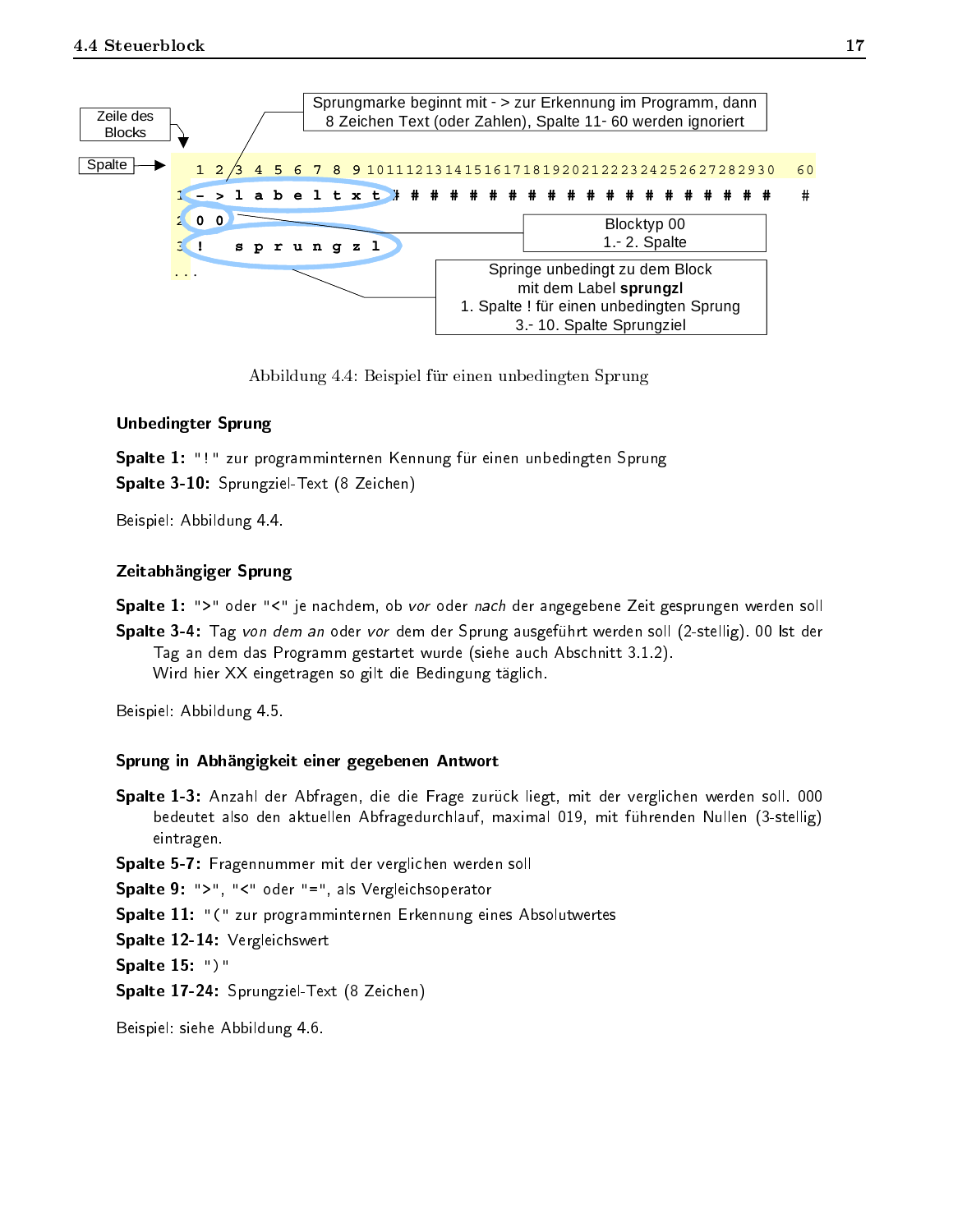

Abbildung 4.4: Beispiel für einen unbedingten Sprung

### **Unbedingter Sprung**

Spalte 1: "!" zur programminternen Kennung für einen unbedingten Sprung Spalte 3-10: Sprungziel-Text (8 Zeichen)

Beispiel: Abbildung 4.4.

### Zeitabhängiger Sprung

Spalte 1: ">" oder "<" je nachdem, ob vor oder nach der angegebene Zeit gesprungen werden soll

Spalte 3-4: Tag von dem an oder vor dem der Sprung ausgeführt werden soll (2-stellig). 00 lst der Tag an dem das Programm gestartet wurde (siehe auch Abschnitt 3.1.2). Wird hier XX eingetragen so gilt die Bedingung täglich.

Beispiel: Abbildung 4.5

### Sprung in Abhängigkeit einer gegebenen Antwort

- Spalte 1-3: Anzahl der Abfragen, die die Frage zurück liegt, mit der verglichen werden soll. 000 bedeutet also den aktuellen Abfragedurchlauf, maximal 019, mit führenden Nullen (3-stellig) eintragen.
- Spalte 5-7: Fragennummer mit der verglichen werden soll

Spalte 9: ">", "<" oder "=", als Vergleichsoperator

Spalte 11: "(" zur programminternen Erkennung eines Absolutwertes

Spalte 12-14: Vergleichswert

Spalte 15: ")"

Spalte 17-24: Sprungziel-Text (8 Zeichen)

Beispiel: siehe Abbildung 4.6.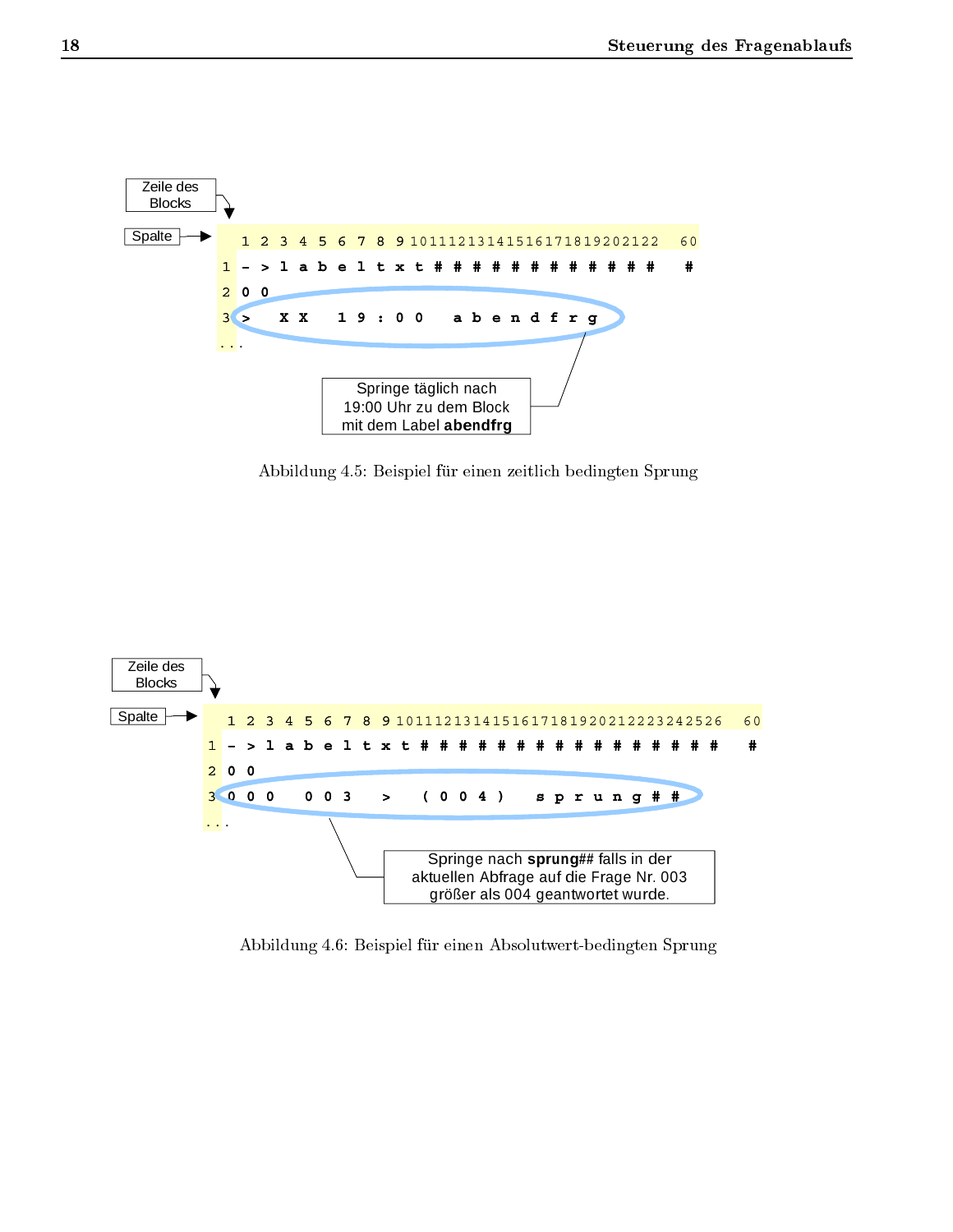

Abbildung 4.5: Beispiel für einen zeitlich bedingten Sprung



Abbildung 4.6: Beispiel für einen Absolutwert-bedingten Sprung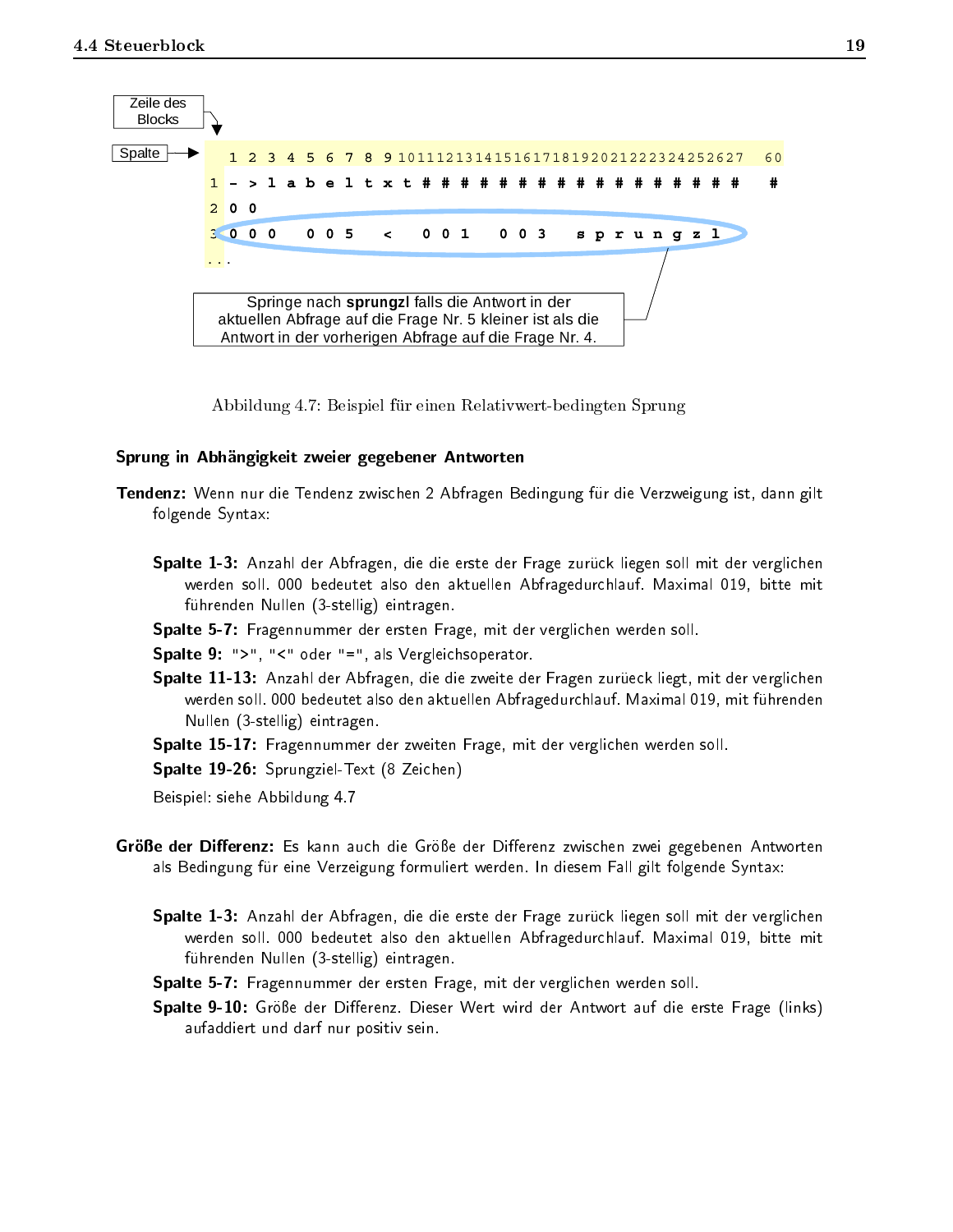

Abbildung 4.7: Beispiel für einen Relativwert-bedingten Sprung

### Sprung in Abhängigkeit zweier gegebener Antworten

- Tendenz: Wenn nur die Tendenz zwischen 2 Abfragen Bedingung für die Verzweigung ist, dann gilt folgende Syntax:
	- Spalte 1-3: Anzahl der Abfragen, die die erste der Frage zurück liegen soll mit der verglichen werden soll. 000 bedeutet also den aktuellen Abfragedurchlauf. Maximal 019, bitte mit führenden Nullen (3-stellig) eintragen.
	- Spalte 5-7: Fragennummer der ersten Frage, mit der verglichen werden soll.
	- Spalte 9: ">", "<" oder "=", als Vergleichsoperator.
	- Spalte 11-13: Anzahl der Abfragen, die die zweite der Fragen zurüeck liegt, mit der verglichen werden soll. 000 bedeutet also den aktuellen Abfragedurchlauf. Maximal 019, mit führenden Nullen (3-stellig) eintragen.
	- Spalte 15-17: Fragennummer der zweiten Frage, mit der verglichen werden soll.

Spalte 19-26: Sprungziel-Text (8 Zeichen)

Beispiel: siehe Abbildung 4.7

- Größe der Differenz: Es kann auch die Größe der Differenz zwischen zwei gegebenen Antworten als Bedingung für eine Verzeigung formuliert werden. In diesem Fall gilt folgende Syntax:
	- Spalte 1-3: Anzahl der Abfragen, die die erste der Frage zurück liegen soll mit der verglichen werden soll. 000 bedeutet also den aktuellen Abfragedurchlauf. Maximal 019, bitte mit führenden Nullen (3-stellig) eintragen.
	- Spalte 5-7: Fragennummer der ersten Frage, mit der verglichen werden soll.
	- Spalte 9-10: Größe der Differenz. Dieser Wert wird der Antwort auf die erste Frage (links) aufaddiert und darf nur positiv sein.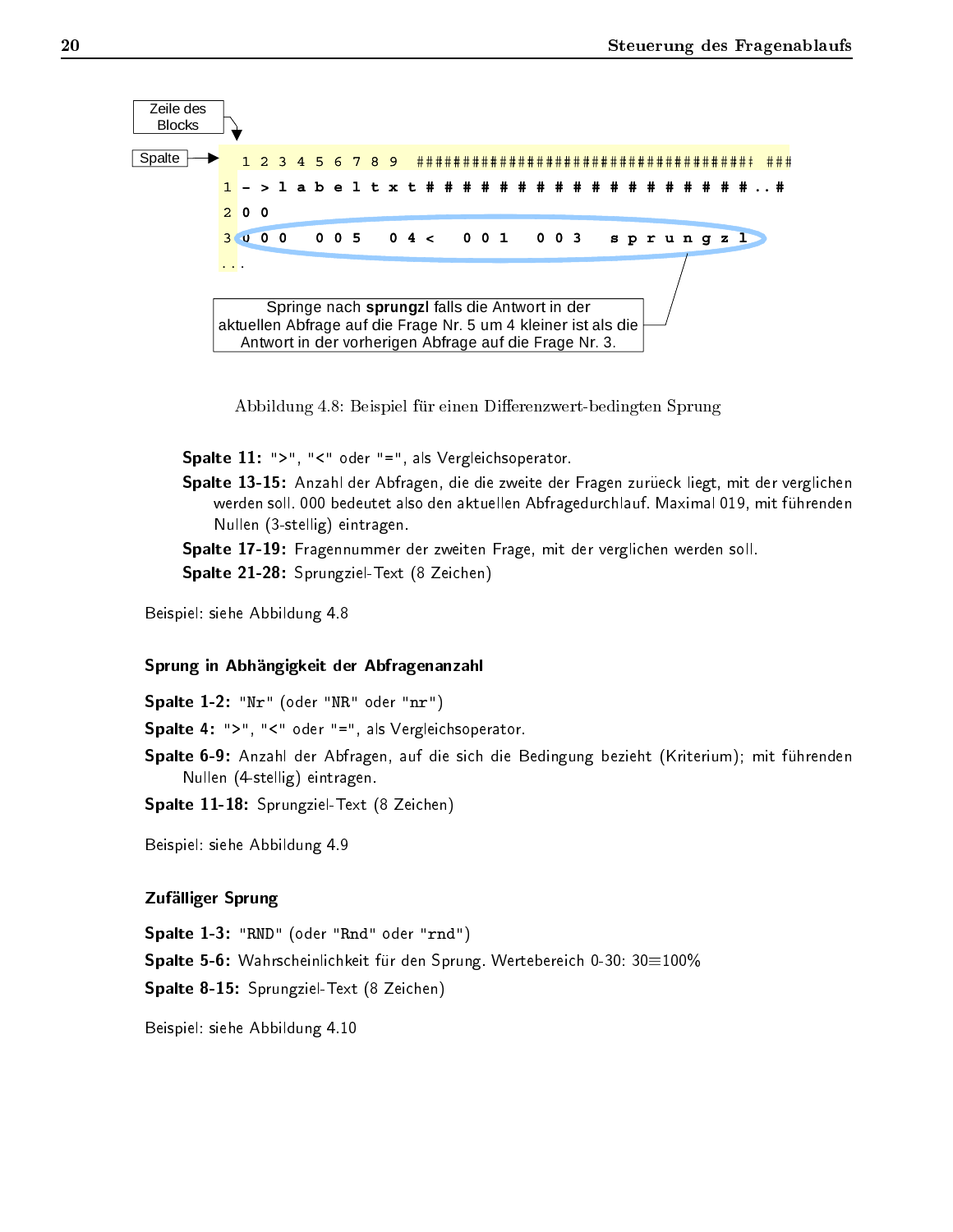

Abbildung 4.8: Beispiel für einen Differenzwert-bedingten Sprung

Spalte 11: ">", "<" oder "=", als Vergleichsoperator.

Spalte 13-15: Anzahl der Abfragen, die die zweite der Fragen zurüeck liegt, mit der verglichen werden soll. 000 bedeutet also den aktuellen Abfragedurchlauf. Maximal 019, mit führenden Nullen (3-stellig) eintragen.

Spalte 17-19: Fragennummer der zweiten Frage, mit der verglichen werden soll.

Spalte 21-28: Sprungziel-Text (8 Zeichen)

Beispiel: siehe Abbildung 4.8

### Sprung in Abhängigkeit der Abfragenanzahl

Spalte 1-2: "Nr" (oder "NR" oder "nr")

Spalte 4: ">", "<" oder "=", als Vergleichsoperator.

Spalte 6-9: Anzahl der Abfragen, auf die sich die Bedingung bezieht (Kriterium); mit führenden Nullen (4-stellig) eintragen.

Spalte 11-18: Sprungziel-Text (8 Zeichen)

Beispiel: siehe Abbildung 4.9

### Zufälliger Sprung

Spalte 1-3: "RND" (oder "Rnd" oder "rnd")

Spalte 5-6: Wahrscheinlichkeit für den Sprung. Wertebereich 0-30: 30=100%

Spalte 8-15: Sprungziel-Text (8 Zeichen)

Beispiel: siehe Abbildung 4.10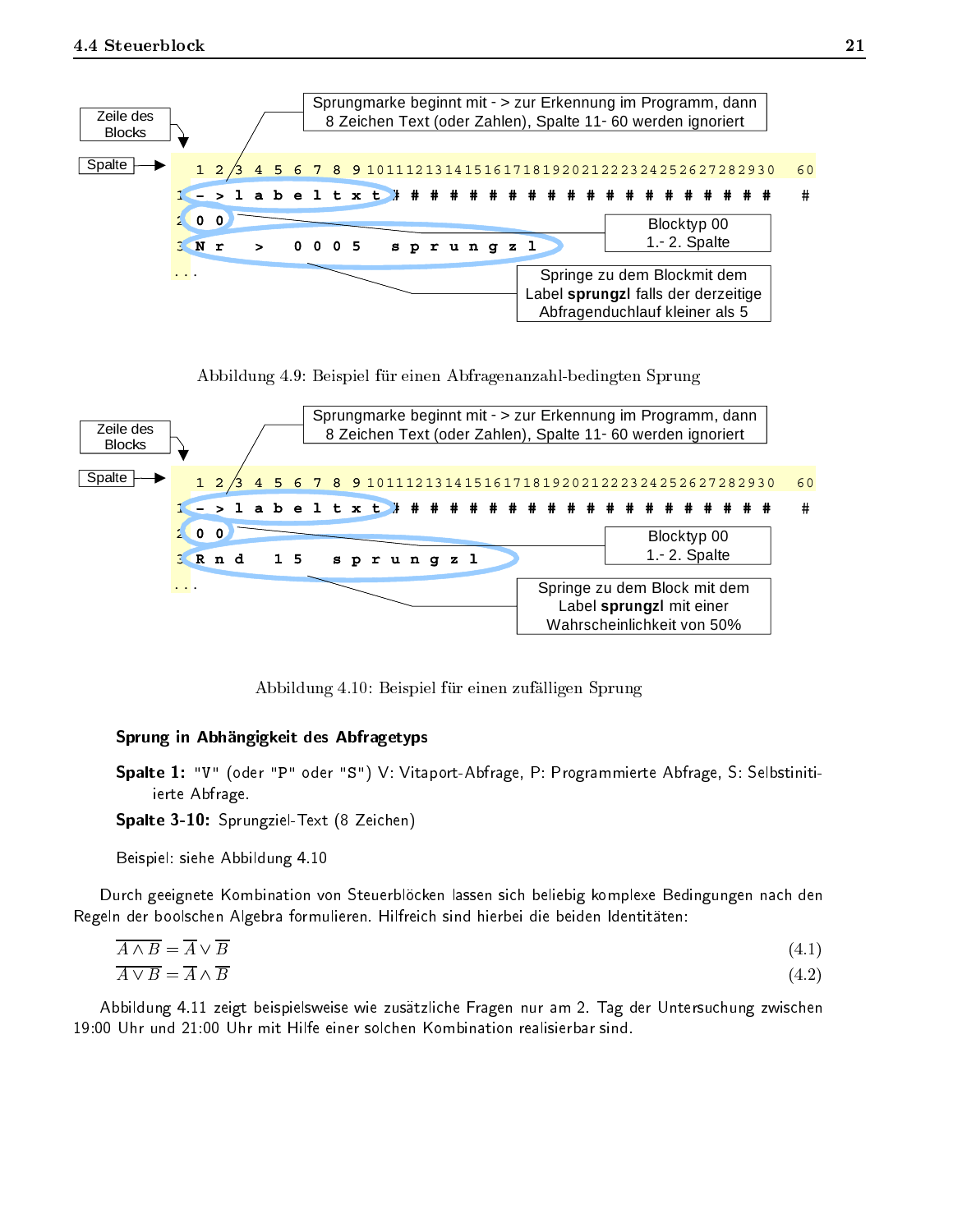





Abbildung 4.10: Beispiel für einen zufälligen Sprung

### - /- -  6

- \$ 11 < 1-<sup>1</sup> 1&1= 5 3\$)> 5 )> 5 \$ ierte Abfrage
- Spalte 3-10: Sprungziel-Text (8 Zeichen)

Beispiel: siehe Abbildung 4.10

Durch geeignete Kombination von Steuerblöcken lassen sich beliebig komplexe Bedingungen nach den Regeln der boolschen Algebra formulieren. Hilfreich sind hierbei die beiden Identitäten:

$$
\overline{A \wedge B} = \overline{A} \vee \overline{B} \tag{4.1}
$$

$$
\overline{A \lor B} = \overline{A} \land \overline{B} \tag{4.2}
$$

Abbildung 4.11 zeigt beispielsweise wie zusätzliche Fragen nur am 2. Tag der Untersuchung zwischen 19:00 Uhr und 21:00 Uhr mit Hilfe einer solchen Kombination realisierbar sind.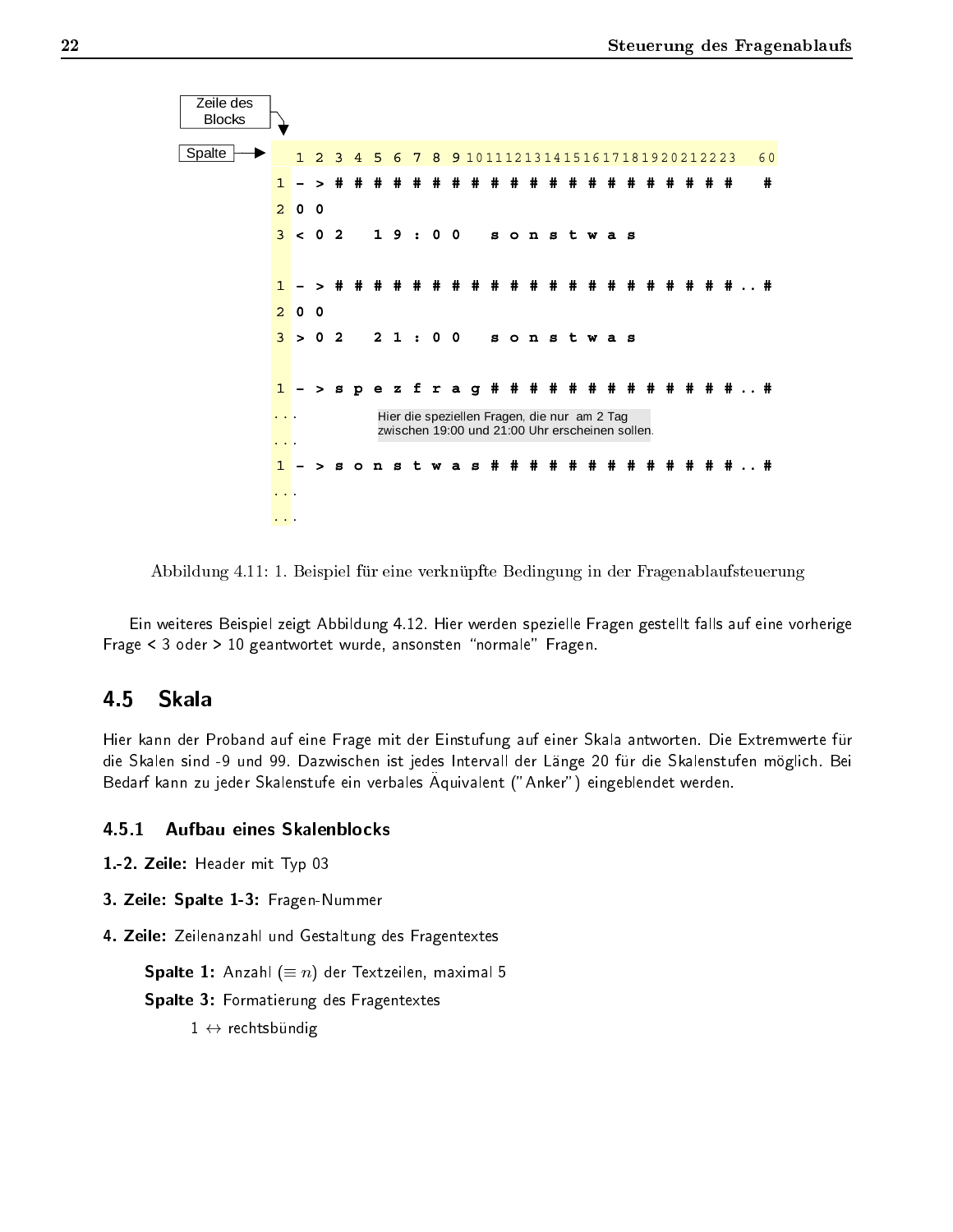

Abbildung 4.11: 1. Beispiel für eine verknüpfte Bedingung in der Fragenablaufsteuerung

Ein weiteres Beispiel zeigt Abbildung 4.12. Hier werden spezielle Fragen gestellt falls auf eine vorherige Frage < 3 oder > 10 geantwortet wurde, ansonsten "normale" Fragen.

#### 4.5 **Skala**

Hier kann der Proband auf eine Frage mit der Einstufung auf einer Skala antworten. Die Extremwerte für die Skalen sind -9 und 99. Dazwischen ist jedes Intervall der Länge 20 für die Skalenstufen möglich. Bei Bedarf kann zu jeder Skalenstufe ein verbales Aquivalent ("Anker") eingeblendet werden.

#### **Aufbau eines Skalenblocks**  $4.5.1$

- 1.-2. Zeile: Header mit Typ 03
- 3. Zeile: Spalte 1-3: Fragen-Nummer
- 4. Zeile: Zeilenanzahl und Gestaltung des Fragentextes

**Spalte 1:** Anzahl ( $\equiv n$ ) der Textzeilen, maximal 5

Spalte 3: Formatierung des Fragentextes

 $1 \leftrightarrow$  rechtsbundig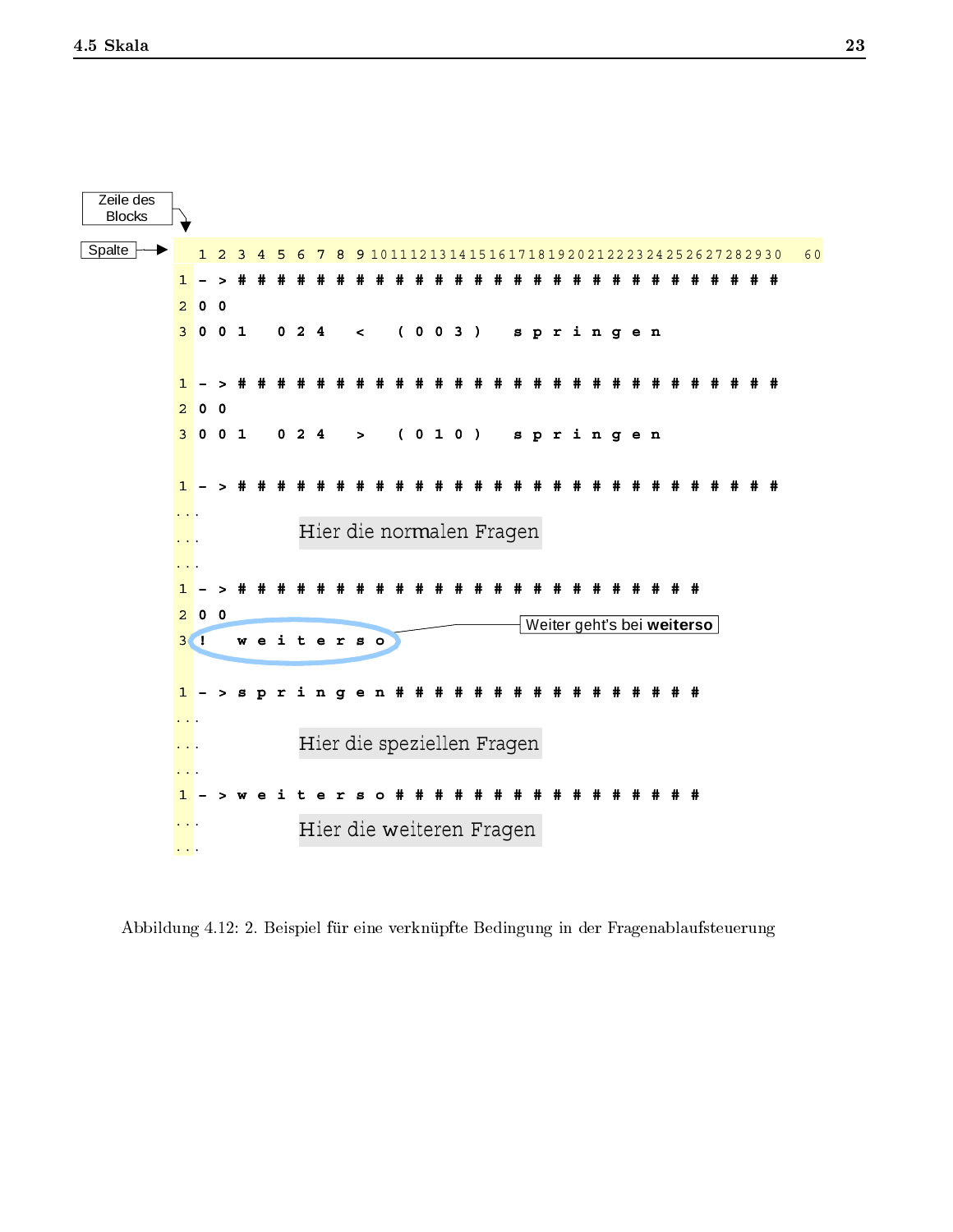

Abbildung 4.12: 2. Beispiel für eine verknüpfte Bedingung in der Fragenablaufsteuerung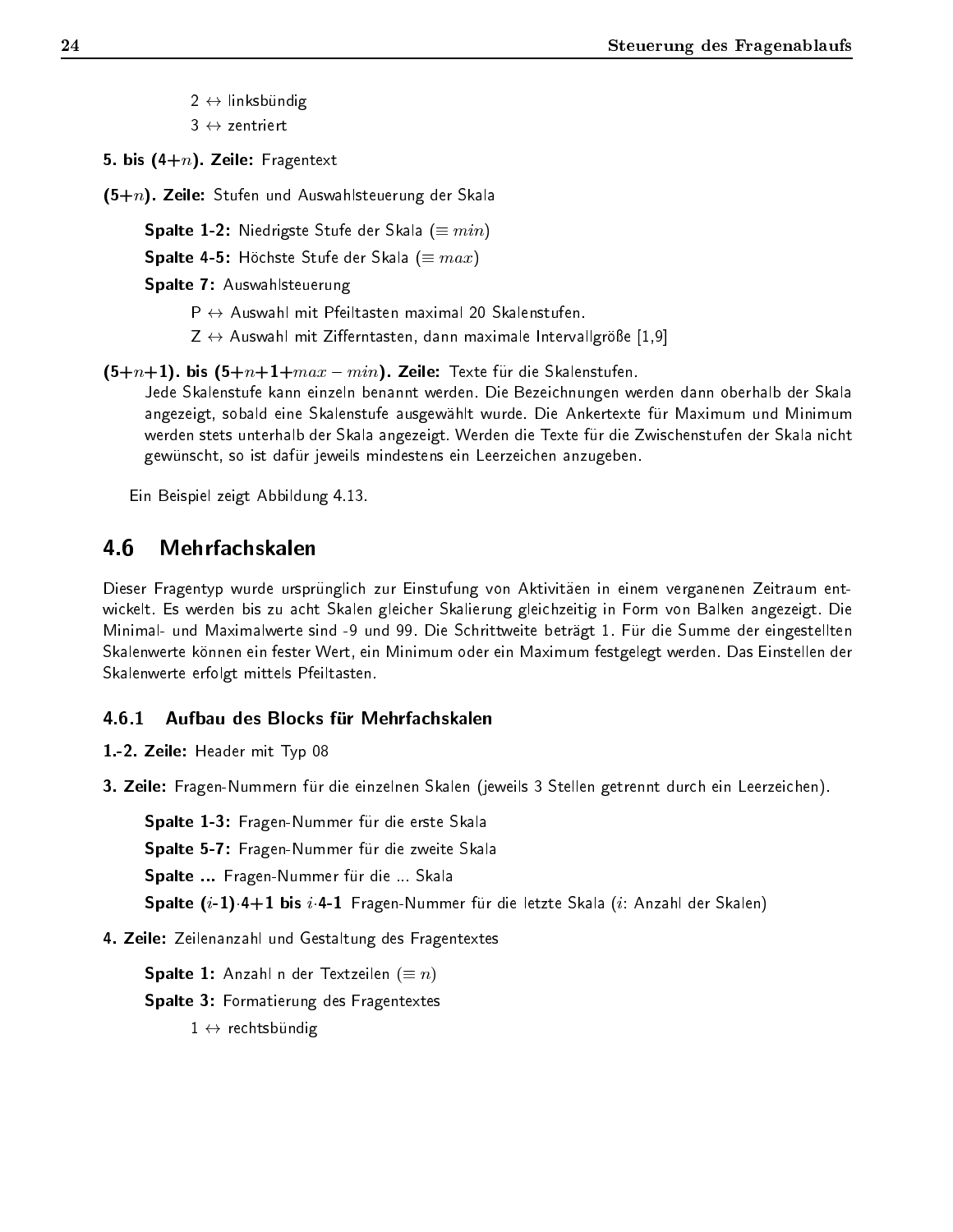$2 \leftrightarrow$  linksbundig

 $3 \leftrightarrow$  zentriert

- 5. bis  $(4+n)$ . Zeile: Fragentext
- $(5+n)$ . Zeile: Stufen und Auswahlsteuerung der Skala
	- **Spalte 1-2:** Niedrigste Stufe der Skala ( $\equiv min$ )
	- **Spalte 4-5:** Hochste Stufe der Skala ( $\equiv max$ )
	- Spalte 7: Auswahlsteuerung
		- $P \leftrightarrow$  Auswahl mit Pfeiltasten maximal 20 Skalenstufen.
		- $Z \leftrightarrow$  Auswahl mit Zifferntasten, dann maximale Intervallgröße [1,9]
- $(5+n+1)$ . bis  $(5+n+1+max-min)$ . Zeile: Texte für die Skalenstufen. Jede Skalenstufe kann einzeln benannt werden. Die Bezeichnungen werden dann oberhalb der Skala angezeigt, sobald eine Skalenstufe ausgewählt wurde. Die Ankertexte für Maximum und Minimum werden stets unterhalb der Skala angezeigt. Werden die Texte für die Zwischenstufen der Skala nicht gewünscht, so ist dafür jeweils mindestens ein Leerzeichen anzugeben.

Ein Beispiel zeigt Abbildung 4.13.

#### 4.6 **Mehrfachskalen**

Dieser Fragentyp wurde ursprünglich zur Einstufung von Aktivitäen in einem verganenen Zeitraum entwickelt. Es werden bis zu acht Skalen gleicher Skalierung gleichzeitig in Form von Balken angezeigt. Die Minimal- und Maximalwerte sind -9 und 99. Die Schrittweite beträgt 1. Für die Summe der eingestellten Skalenwerte können ein fester Wert, ein Minimum oder ein Maximum festgelegt werden. Das Einstellen der Skalenwerte erfolgt mittels Pfeiltasten.

#### Aufbau des Blocks für Mehrfachskalen  $4.6.1$

- 1.-2. Zeile: Header mit Typ 08
- 3. Zeile: Fragen-Nummern für die einzelnen Skalen (jeweils 3 Stellen getrennt durch ein Leerzeichen).

Spalte 1-3: Fragen-Nummer für die erste Skala

Spalte 5-7: Fragen-Nummer für die zweite Skala

Spalte ... Fragen-Nummer für die ... Skala

**Spalte (i-1) 4+1 bis i.4-1** Fragen-Nummer für die letzte Skala (i: Anzahl der Skalen)

4. Zeile: Zeilenanzahl und Gestaltung des Fragentextes

**Spalte 1:** Anzahl n der Textzeilen ( $\equiv n$ )

- Spalte 3: Formatierung des Fragentextes
	- $1 \leftrightarrow$  rechtsbundig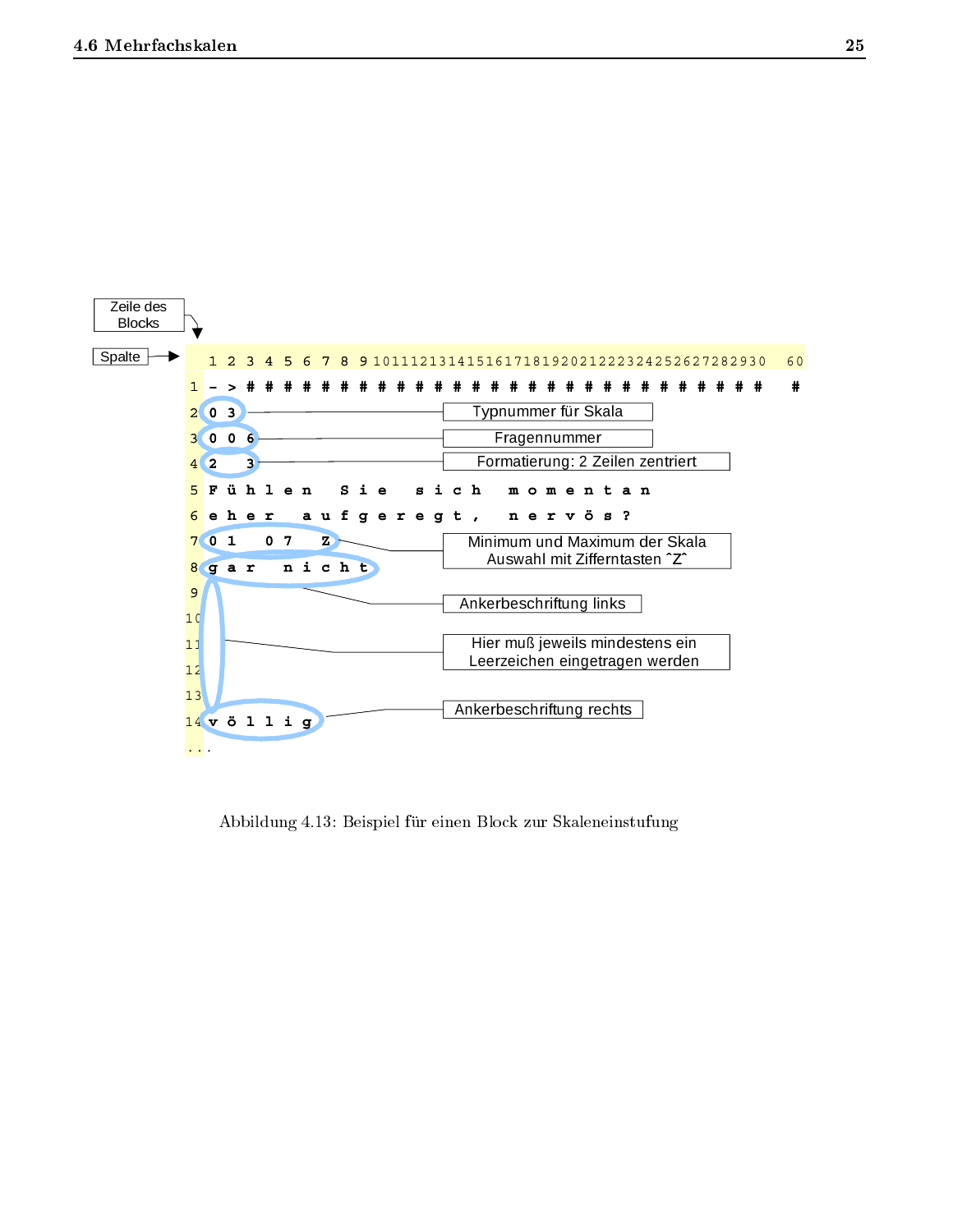

Abbildung 4.13: Beispiel für einen Block zur Skaleneinstufung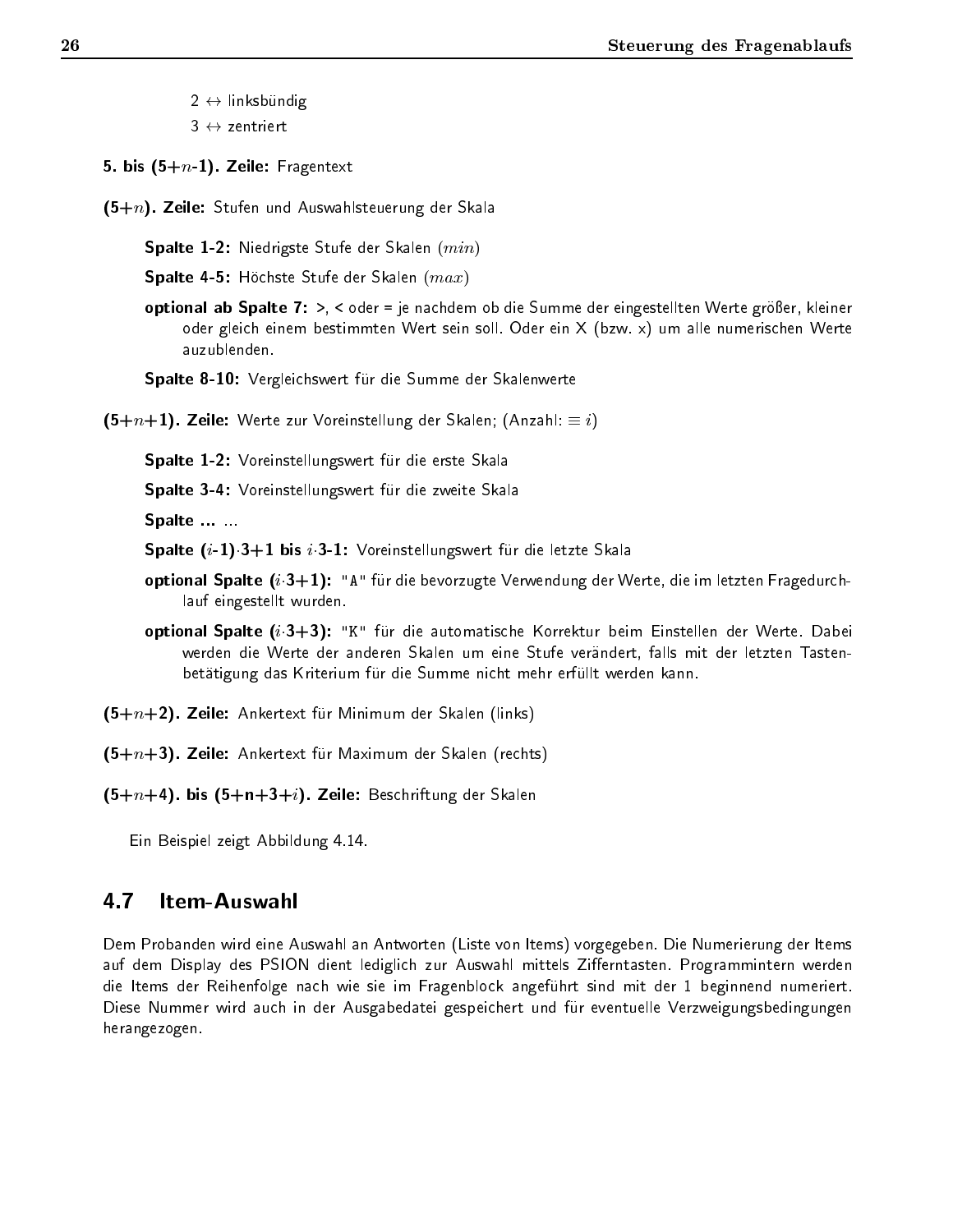- $2 \leftrightarrow$  linksbundig
- $3 \leftrightarrow$  zentriert
- 5. bis  $(5+n-1)$ . Zeile: Fragentext
- $(5+n)$ . Zeile: Stufen und Auswahlsteuerung der Skala

Spalte 1-2: Niedrigste Stufe der Skalen  $(min)$ 

- **Spalte 4-5:** Hochste Stufe der Skalen  $(max)$
- optional ab Spalte 7:  $> 0.5$  < oder = je nachdem ob die Summe der eingestellten Werte größer, kleiner oder gleich einem bestimmten Wert sein soll. Oder ein X (bzw. x) um alle numerischen Werte auzublenden.
- Spalte 8-10: Vergleichswert für die Summe der Skalenwerte
- $(5+n+1)$ . Zeile: Werte zur Voreinstellung der Skalen; (Anzahl:  $\equiv i$ )
	- Spalte 1-2: Voreinstellungswert für die erste Skala
	- Spalte 3-4: Voreinstellungswert für die zweite Skala

Spalte ... ...

- **Spalte**  $(i-1)$  **3+1 bis**  $i \cdot 3$ **-1:** Voreinstellungswert für die letzte Skala
- optional Spalte  $(i \cdot 3+1)$ : "A" für die bevorzugte Verwendung der Werte, die im letzten Fragedurchlauf eingestellt wurden.
- optional Spalte (i.3+3): "K" für die automatische Korrektur beim Einstellen der Werte. Dabei werden die Werte der anderen Skalen um eine Stufe verändert, falls mit der letzten Tastenbetätigung das Kriterium für die Summe nicht mehr erfüllt werden kann.
- $(5+n+2)$ . Zeile: Ankertext für Minimum der Skalen (links)
- $(5+n+3)$ . Zeile: Ankertext für Maximum der Skalen (rechts)
- $(5+n+4)$ . bis  $(5+n+3+i)$ . Zeile: Beschriftung der Skalen

Ein Beispiel zeigt Abbildung 4.14.

#### 4.7 **Item-Auswahl**

Dem Probanden wird eine Auswahl an Antworten (Liste von Items) vorgegeben. Die Numerierung der Items auf dem Display des PSION dient lediglich zur Auswahl mittels Zifferntasten. Programmintern werden die Items der Reihenfolge nach wie sie im Fragenblock angeführt sind mit der 1 beginnend numeriert. Diese Nummer wird auch in der Ausgabedatei gespeichert und für eventuelle Verzweigungsbedingungen herangezogen.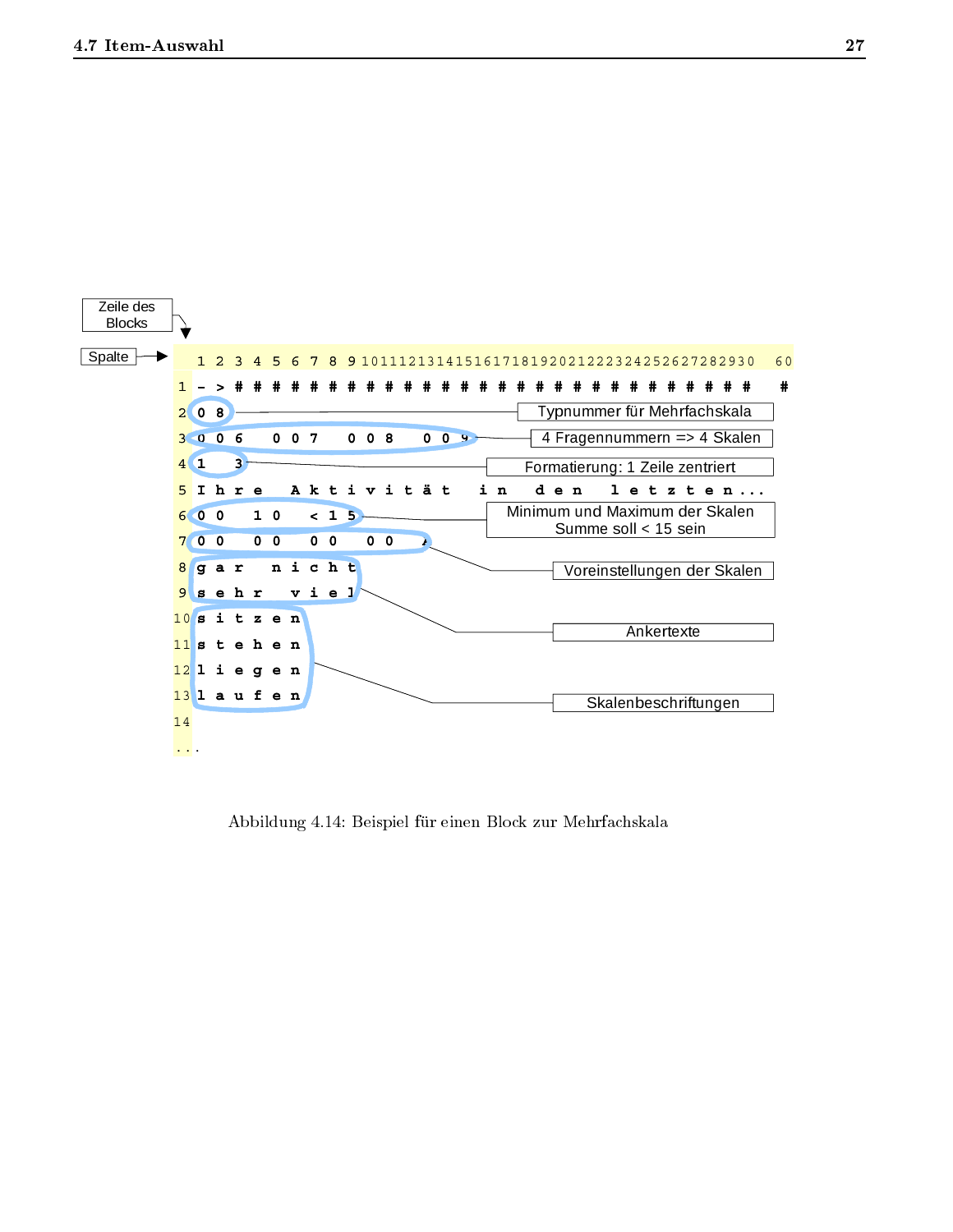

Abbildung 4.14: Beispiel für einen Block zur Mehrfachskala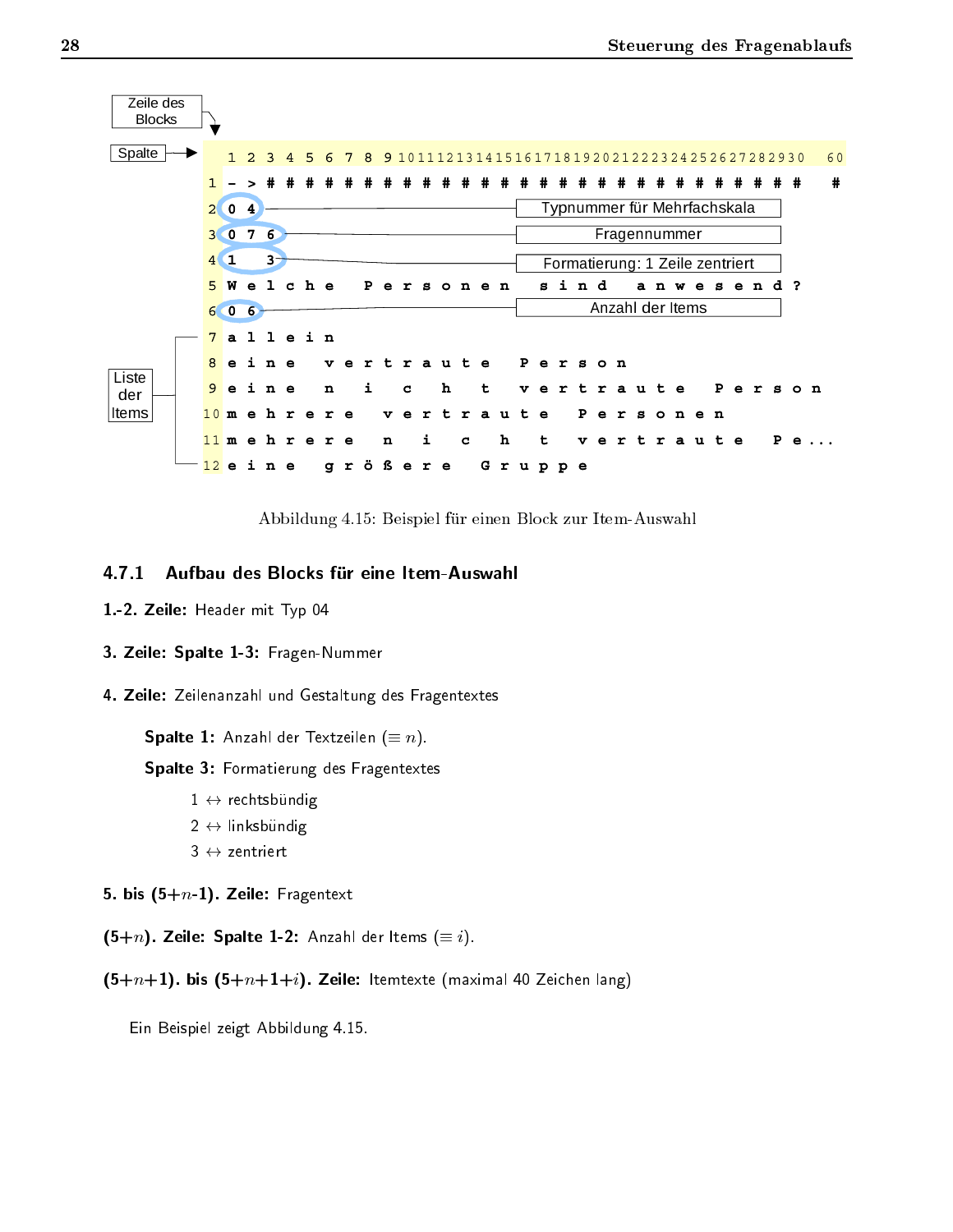

Abbildung 4.15: Beispiel für einen Block zur Item-Auswahl

#### $4.7.1$ Aufbau des Blocks für eine Item-Auswahl

- 1.-2. Zeile: Header mit Typ 04
- 3. Zeile: Spalte 1-3: Fragen-Nummer
- 4. Zeile: Zeilenanzahl und Gestaltung des Fragentextes

**Spalte 1:** Anzahl der Textzeilen ( $\equiv n$ ).

Spalte 3: Formatierung des Fragentextes

- $1 \leftrightarrow$  rechtsbundig
- $2 \leftrightarrow$  linksbundig
- $3 \leftrightarrow$  zentriert

5. bis  $(5+n-1)$ . Zeile: Fragentext

- $(5+n)$ . Zeile: Spalte 1-2: Anzahl der Items  $(\equiv i)$ .
- $(5+n+1)$ . bis  $(5+n+1+i)$ . Zeile: Itemtexte (maximal 40 Zeichen lang)

Ein Beispiel zeigt Abbildung 4.15.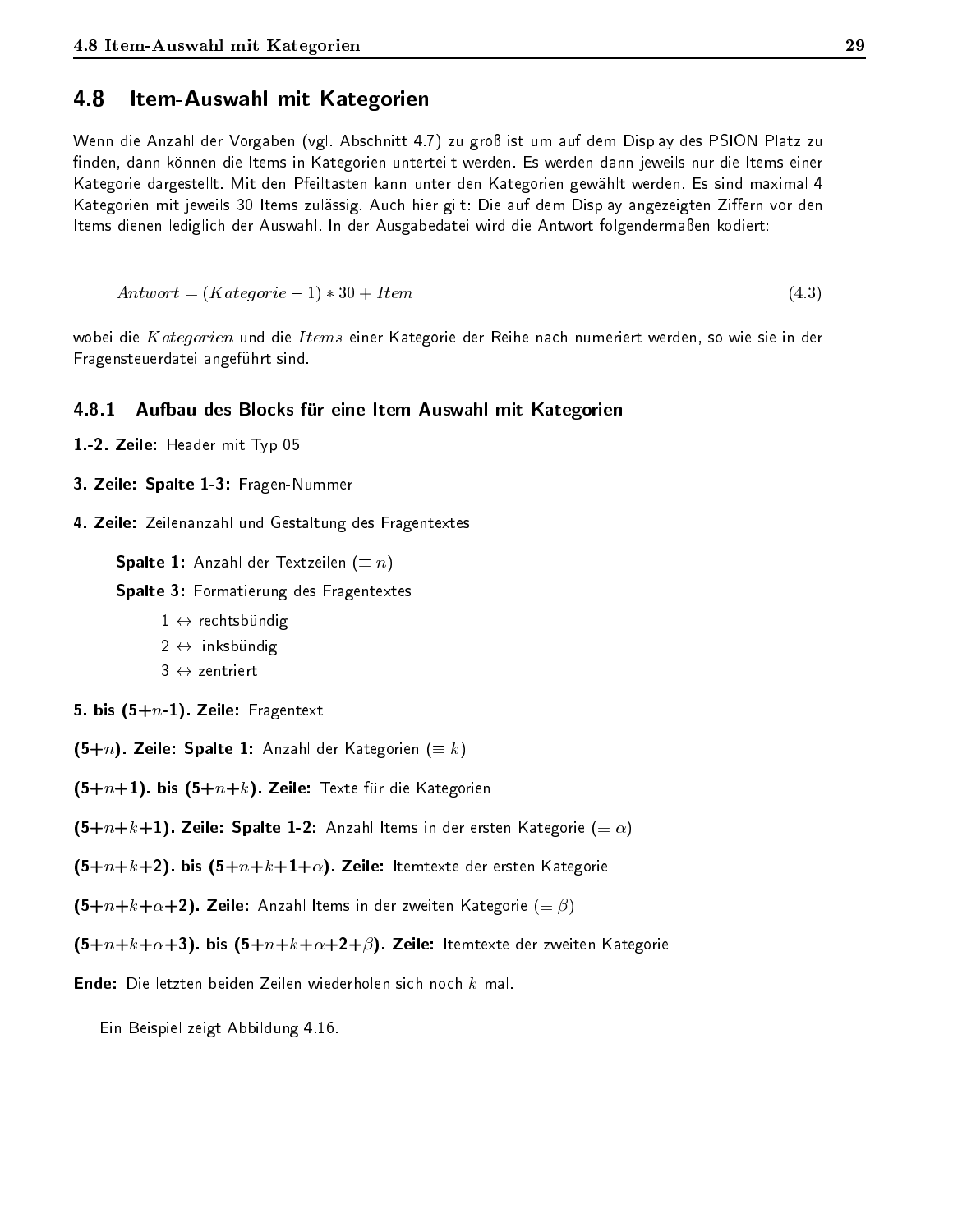#### 4.8 Item-Auswahl mit Kategorien

Wenn die Anzahl der Vorgaben (vgl. Abschnitt 4.7) zu groß ist um auf dem Display des PSION Platz zu finden, dann können die Items in Kategorien unterteilt werden. Es werden dann jeweils nur die Items einer Kategorie dargestellt. Mit den Pfeiltasten kann unter den Kategorien gewählt werden. Es sind maximal 4 Kategorien mit jeweils 30 Items zulässig. Auch hier gilt: Die auf dem Display angezeigten Ziffern vor den Items dienen lediglich der Auswahl. In der Ausgabedatei wird die Antwort folgendermaßen kodiert:

$$
Antwort = (Kategorie - 1) * 30 + Item
$$
\n
$$
(4.3)
$$

wobei die Kategorien und die Items einer Kategorie der Reihe nach numeriert werden, so wie sie in der Fragensteuerdatei angeführt sind.

#### 481 Aufbau des Blocks für eine Item-Auswahl mit Kategorien

1.-2. Zeile: Header mit Typ 05

- 3. Zeile: Spalte 1-3: Fragen-Nummer
- 4. Zeile: Zeilenanzahl und Gestaltung des Fragentextes

**Spalte 1:** Anzahl der Textzeilen ( $\equiv n$ )

Spalte 3: Formatierung des Fragentextes

- $1 \leftrightarrow$  rechtsbundig
- $2 \leftrightarrow$  linksbundig
- $3 \leftrightarrow$  zentriert
- 5. bis  $(5+n-1)$ . Zeile: Fragentext
- (5+n). Zeile: Spalte 1: Anzahl der Kategorien ( $\equiv k$ )
- $(5+n+1)$ . bis  $(5+n+k)$ . Zeile: Texte für die Kategorien
- (5+n+k+1). Zeile: Spalte 1-2: Anzahl Items in der ersten Kategorie ( $\equiv \alpha$ )
- $(5+n+k+2)$ . bis  $(5+n+k+1+\alpha)$ . Zeile: Itemtexte der ersten Kategorie
- $(5+n+k+\alpha+2)$ . Zeile: Anzahl Items in der zweiten Kategorie ( $\equiv \beta$ )
- $(5+n+k+\alpha+3)$ . bis  $(5+n+k+\alpha+2+\beta)$ . Zeile: Itemtexte der zweiten Kategorie
- Ende: Die letzten beiden Zeilen wiederholen sich noch k mal.

Ein Beispiel zeigt Abbildung 4.16.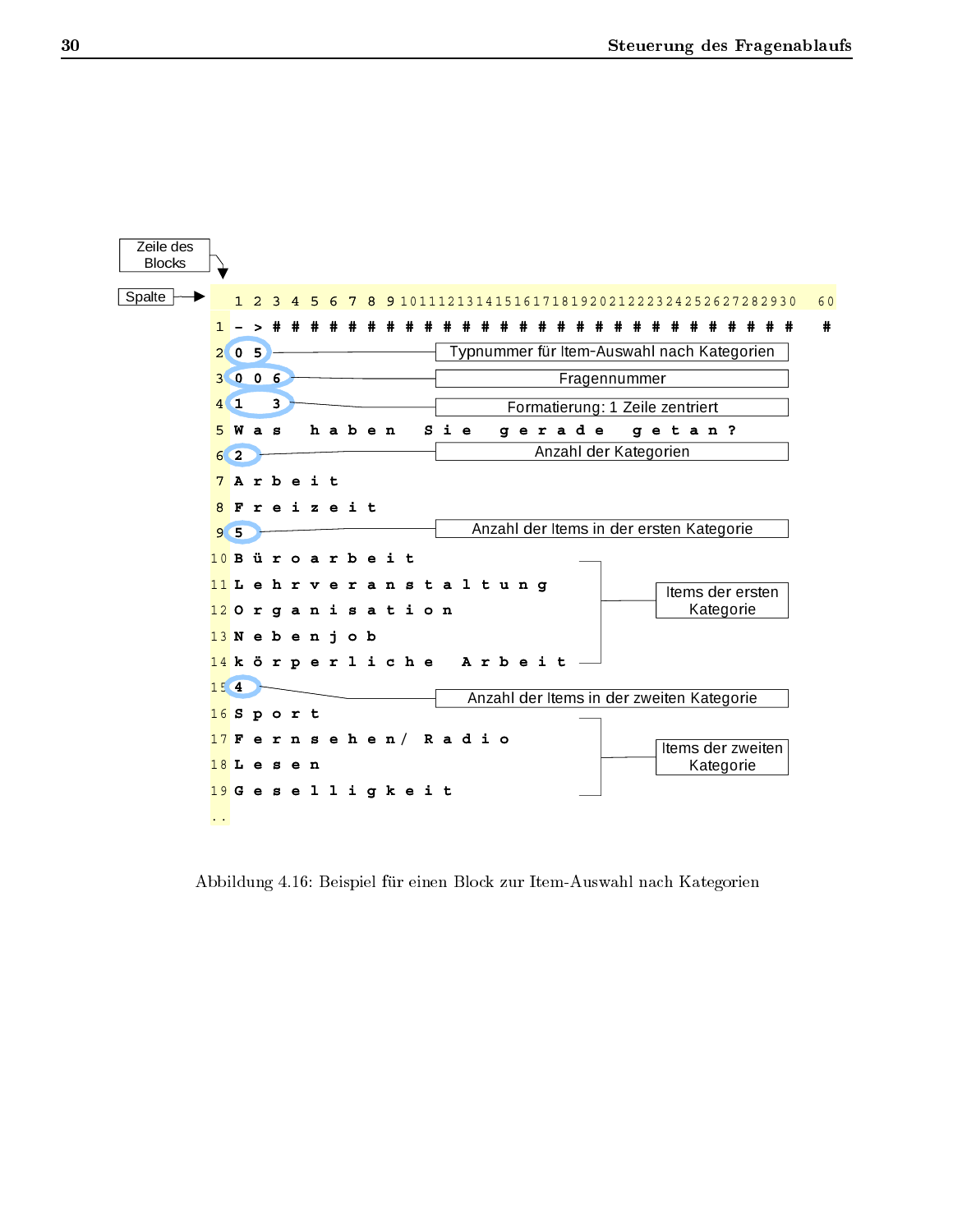

Abbildung 4.10: Beispiel fur einen Block zur Item-Auswahl nach Kategorien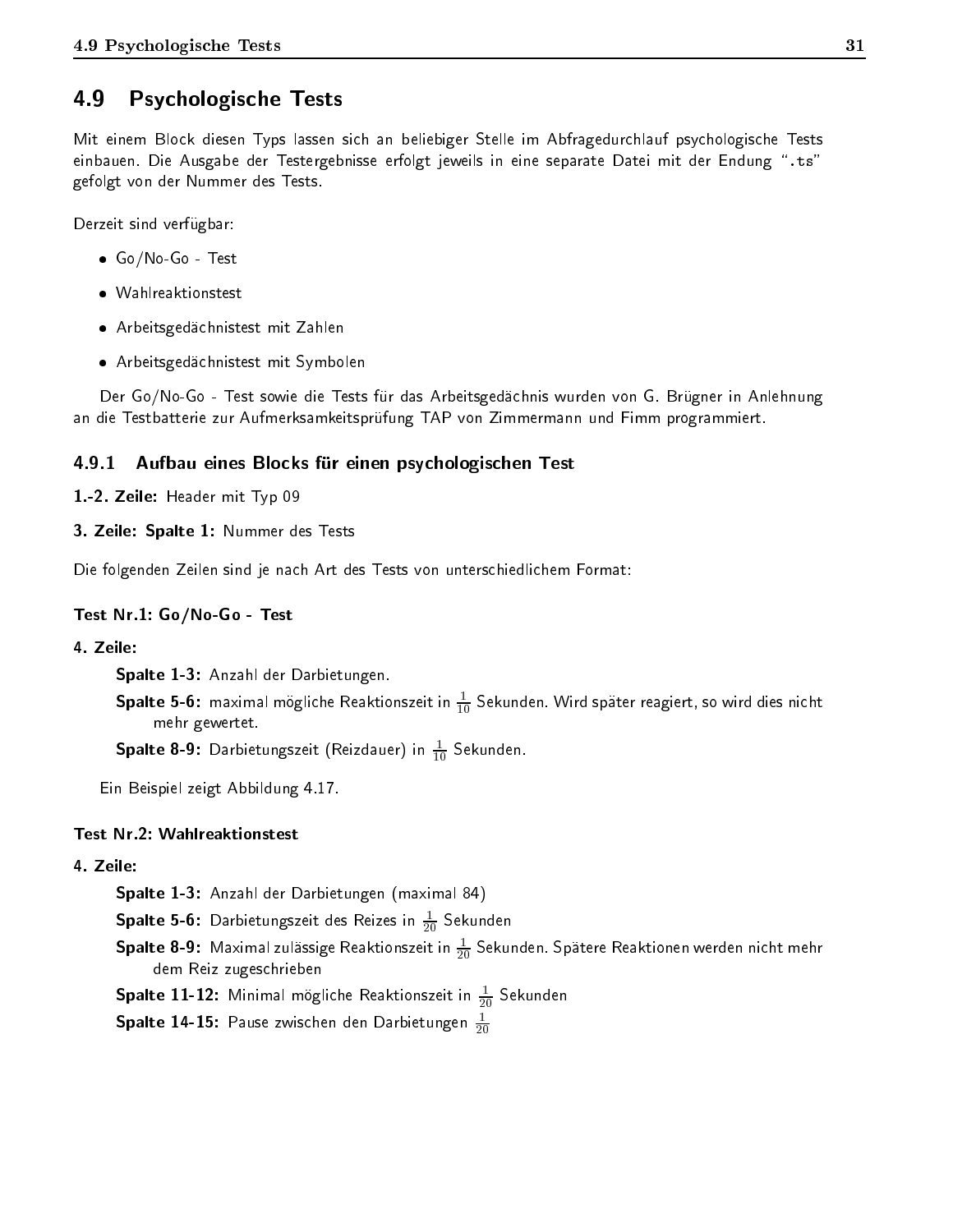### 4.9 **Psychologische Tests**

Mit einem Block diesen Typs lassen sich an beliebiger Stelle im Abfragedurchlauf psychologische Tests einbauen. Die Ausgabe der Testergebnisse erfolgt jeweils in eine separate Datei mit der Endung". ts" gefolgt von der Nummer des Tests.

Derzeit sind verfügbar:

- Go/No-Go Test
- Wahlreaktionstest
- Arbeitsgedachnistest mit Zahlen
- · Arbeitsgedächnistest mit Symbolen

Der Go/No-Go - Test sowie die Tests für das Arbeitsgedächnis wurden von G. Brügner in Anlehnung an die Testbatterie zur Aufmerksamkeitsprüfung TAP von Zimmermann und Fimm programmiert.

#### 4.9.1 Aufbau eines Blocks für einen psychologischen Test

1.-2. Zeile: Header mit Typ 09

3. Zeile: Spalte 1: Nummer des Tests

Die folgenden Zeilen sind je nach Art des Tests von unterschiedlichem Format:

### Test Nr.1: Go/No-Go - Test

4 Zeile:

Spalte 1-3: Anzahl der Darbietungen.

**Spalte 5-6:** maximal mögliche Reaktionszeit in  $\frac{1}{10}$  Sekunden. Wird später reagiert, so wird dies nicht mehr gewertet.

**Spalte 8-9:** Darbietungszeit (Reizdauer) in  $\frac{1}{10}$  Sekunden.

Ein Beispiel zeigt Abbildung 4.17.

### **Test Nr.2: Wahlreaktionstest**

4 Zeile

**Spalte 1-3:** Anzahl der Darbietungen (maximal 84)

**Spalte 5-6:** Darbietungszeit des Reizes in  $\frac{1}{20}$  Sekunden

**Spalte 8-9:** Maximal zulässige Reaktionszeit in  $\frac{1}{20}$  Sekunden. Spätere Reaktionen werden nicht mehr dem Reiz zugeschrieben

**Spalte 11-12:** Minimal mögliche Reaktionszeit in  $\frac{1}{20}$  Sekunden

**Spalte 14-15:** Pause zwischen den Darbietungen  $\frac{1}{20}$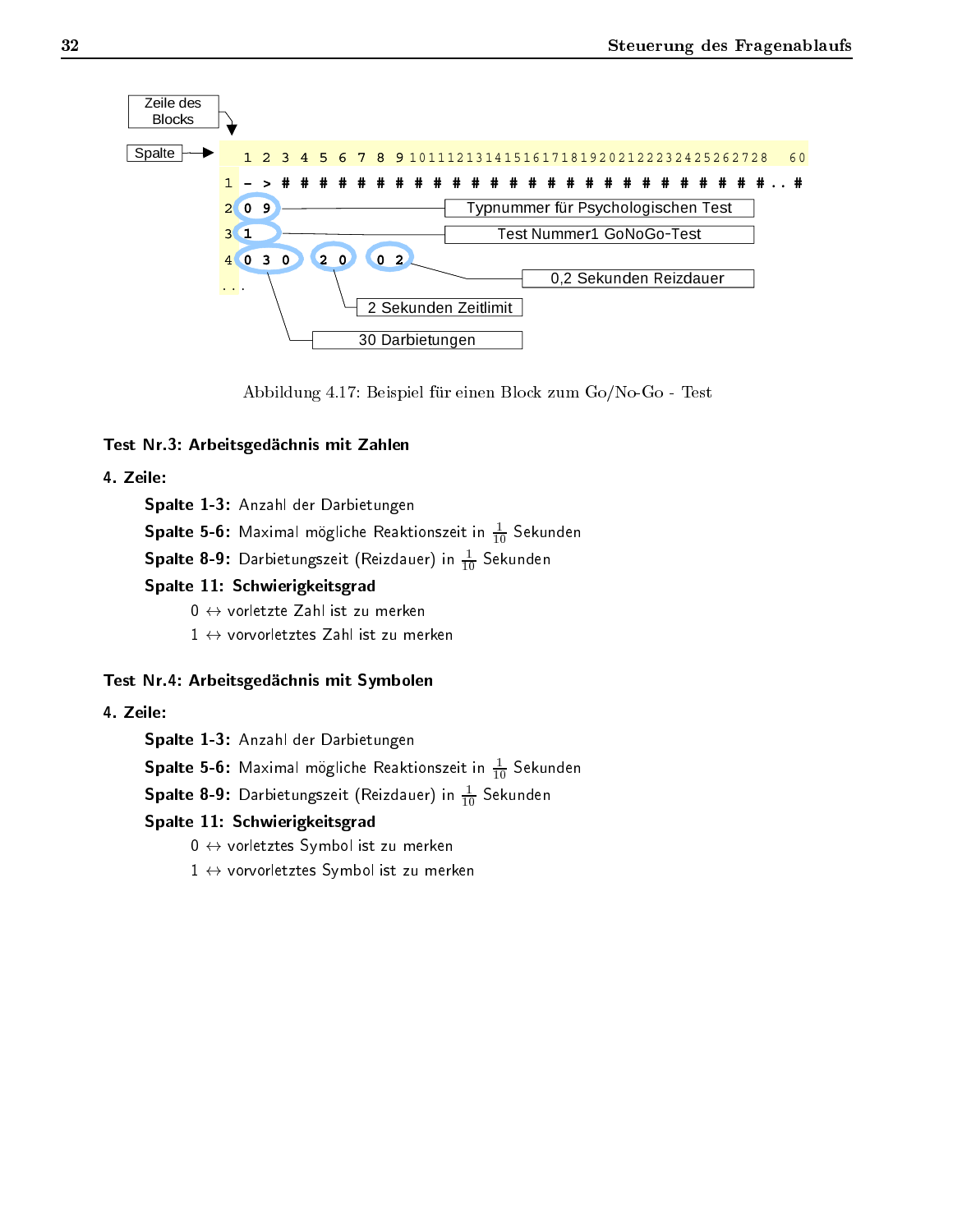

Abbildung 4.17: Beispiel für einen Block zum Go/No-Go - Test

### Test Nr.3: Arbeitsgedächnis mit Zahlen

### 4 Zeile:

- Spalte 1-3: Anzahl der Darbietungen
- **Spalte 5-6:** Maximal mögliche Reaktionszeit in  $\frac{1}{10}$  Sekunden
- **Spalte 8-9:** Darbietungszeit (Reizdauer) in  $\frac{1}{10}$  Sekunden

### Spalte 11: Schwierigkeitsgrad

- $0 \leftrightarrow$  vorletzte Zahl ist zu merken
- 1 ↔ vorvorletztes Zahl ist zu merken

### Test Nr.4: Arbeitsgedächnis mit Symbolen

### 4. Zeile:

- Spalte 1-3: Anzahl der Darbietungen
- **Spalte 5-6:** Maximal mögliche Reaktionszeit in  $\frac{1}{10}$  Sekunden
- **Spalte 8-9:** Darbietungszeit (Reizdauer) in  $\frac{1}{10}$  Sekunden

### Spalte 11: Schwierigkeitsgrad

- 0  $\leftrightarrow$  vorletztes Symbol ist zu merken
- $1 \leftrightarrow$  vorvorletztes Symbol ist zu merken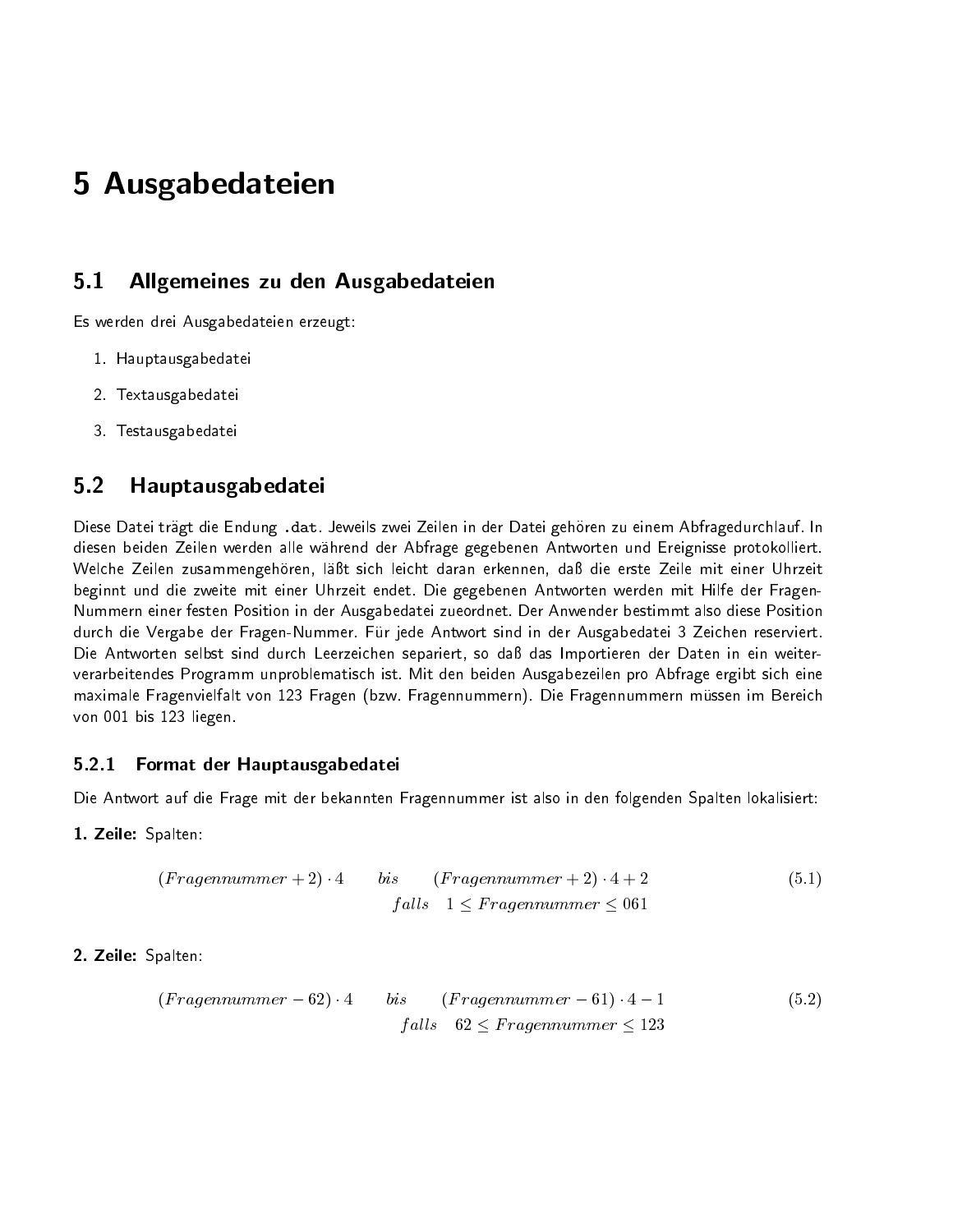## 5 Ausgabedateien

### $5.1$ Allgemeines zu den Ausgabedateien

Es werden drei Ausgabedateien erzeugt:

- 1. Hauptausgabedatei
- 2 Textausgabedatei
- 3 Testausgabedatei

### $5.2$ Hauptausgabedatei

Diese Datei trägt die Endung. dat. Jeweils zwei Zeilen in der Datei gehören zu einem Abfragedurchlauf. In diesen beiden Zeilen werden alle während der Abfrage gegebenen Antworten und Ereignisse protokolliert. Welche Zeilen zusammengehören, läßt sich leicht daran erkennen, daß die erste Zeile mit einer Uhrzeit beginnt und die zweite mit einer Uhrzeit endet. Die gegebenen Antworten werden mit Hilfe der Fragen-Nummern einer festen Position in der Ausgabedatei zueordnet. Der Anwender bestimmt also diese Position durch die Vergabe der Fragen-Nummer. Für jede Antwort sind in der Ausgabedatei 3 Zeichen reserviert. Die Antworten selbst sind durch Leerzeichen separiert, so daß das Importieren der Daten in ein weiterverarbeitendes Programm unproblematisch ist. Mit den beiden Ausgabezeilen pro Abfrage ergibt sich eine maximale Fragenvielfalt von 123 Fragen (bzw. Fragennummern). Die Fragennummern müssen im Bereich von 001 bis 123 liegen.

#### $5.2.1$ Format der Hauptausgabedatei

Die Antwort auf die Frage mit der bekannten Fragennummer ist also in den folgenden Spalten lokalisiert:

1. Zeile: Spalten:

$$
(Fragennummer + 2) \cdot 4 \qquad bis \qquad (Fragennummer + 2) \cdot 4 + 2 \qquad (5.1)
$$

$$
falls \quad 1 < Fragennummer < 061
$$

2. Zeile: Spalten:

$$
(Fragennummer - 62) \cdot 4 \qquad bis \qquad (Fragennummer - 61) \cdot 4 - 1 \qquad (5.2)
$$

$$
falls \quad 62 < Fragennummer < 123
$$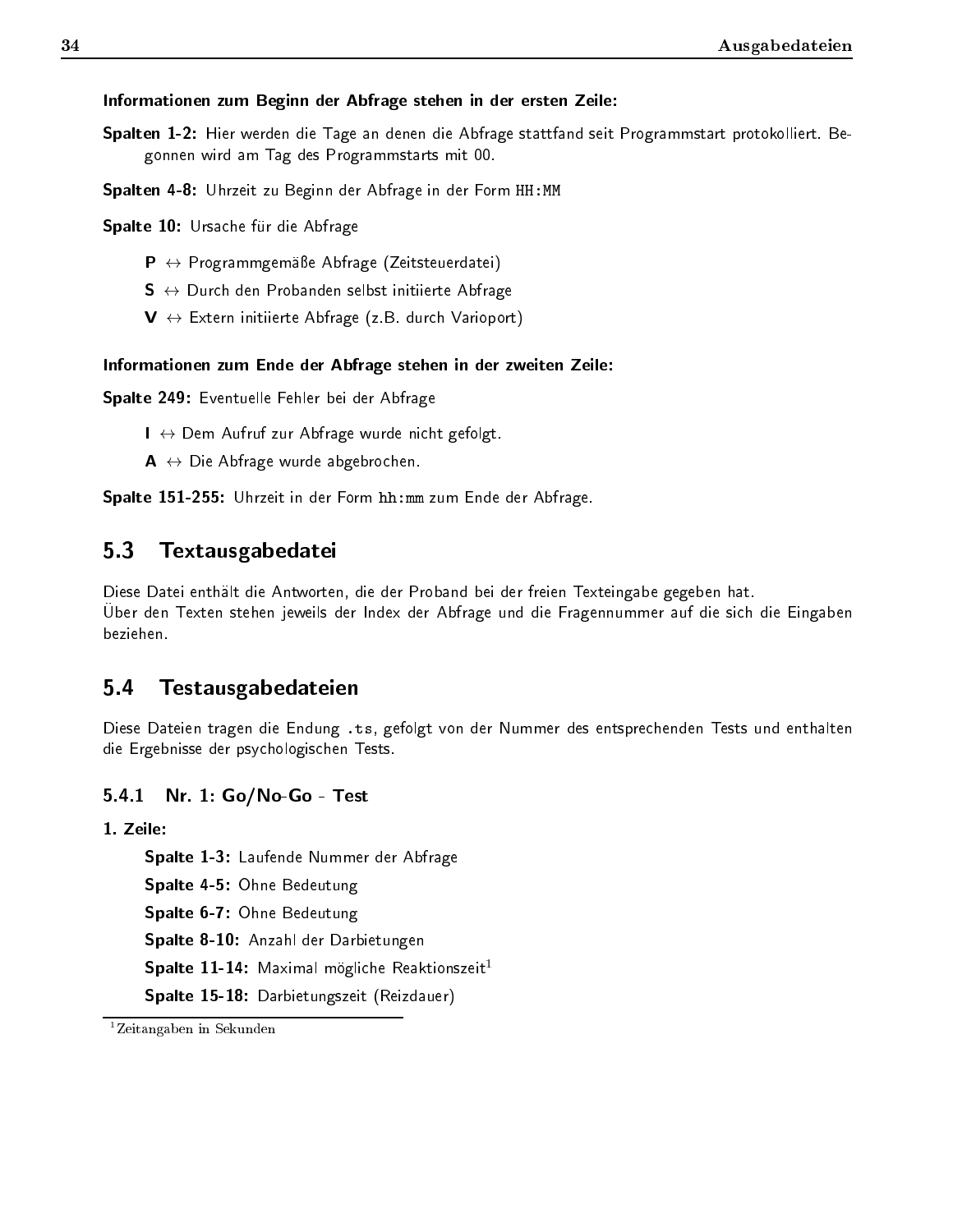### Informationen zum Beginn der Abfrage stehen in der ersten Zeile:

Spalten 1-2: Hier werden die Tage an denen die Abfrage stattfand seit Programmstart protokolliert. Begonnen wird am Tag des Programmstarts mit 00.

Spalten 4-8: Uhrzeit zu Beginn der Abfrage in der Form HH: MM

Spalte 10: Ursache für die Abfrage

- $\mathbf{P} \leftrightarrow$  Programmgemäße Abfrage (Zeitsteuerdatei)
- $S \leftrightarrow$  Durch den Probanden selbst initiierte Abfrage
- $V \leftrightarrow$  Extern initiierte Abfrage (z.B. durch Varioport)

### Informationen zum Ende der Abfrage stehen in der zweiten Zeile:

Spalte 249: Eventuelle Fehler bei der Abfrage

- $I \leftrightarrow$  Dem Aufruf zur Abfrage wurde nicht gefolgt.
- $A \leftrightarrow$  Die Abfrage wurde abgebrochen.

Spalte 151-255: Uhrzeit in der Form hh:mm zum Ende der Abfrage.

#### $5.3$ **Textausgabedatei**

Diese Datei enthält die Antworten, die der Proband bei der freien Texteingabe gegeben hat. Uber den Texten stehen jeweils der Index der Abfrage und die Fragennummer auf die sich die Eingaben beziehen.

#### $5.4$ **Testausgabedateien**

Diese Dateien tragen die Endung .ts, gefolgt von der Nummer des entsprechenden Tests und enthalten die Ergebnisse der psychologischen Tests.

#### 5.4.1 Nr. 1: Go/No-Go - Test

1. Zeile:

Spalte 1-3: Laufende Nummer der Abfrage

Spalte 4-5: Ohne Bedeutung

Spalte 6-7: Ohne Bedeutung

Spalte 8-10: Anzahl der Darbietungen

Spalte 11-14: Maximal mögliche Reaktionszeit $^1$ 

Spalte 15-18: Darbietungszeit (Reizdauer)

 $1$ Zeitangaben in Sekunden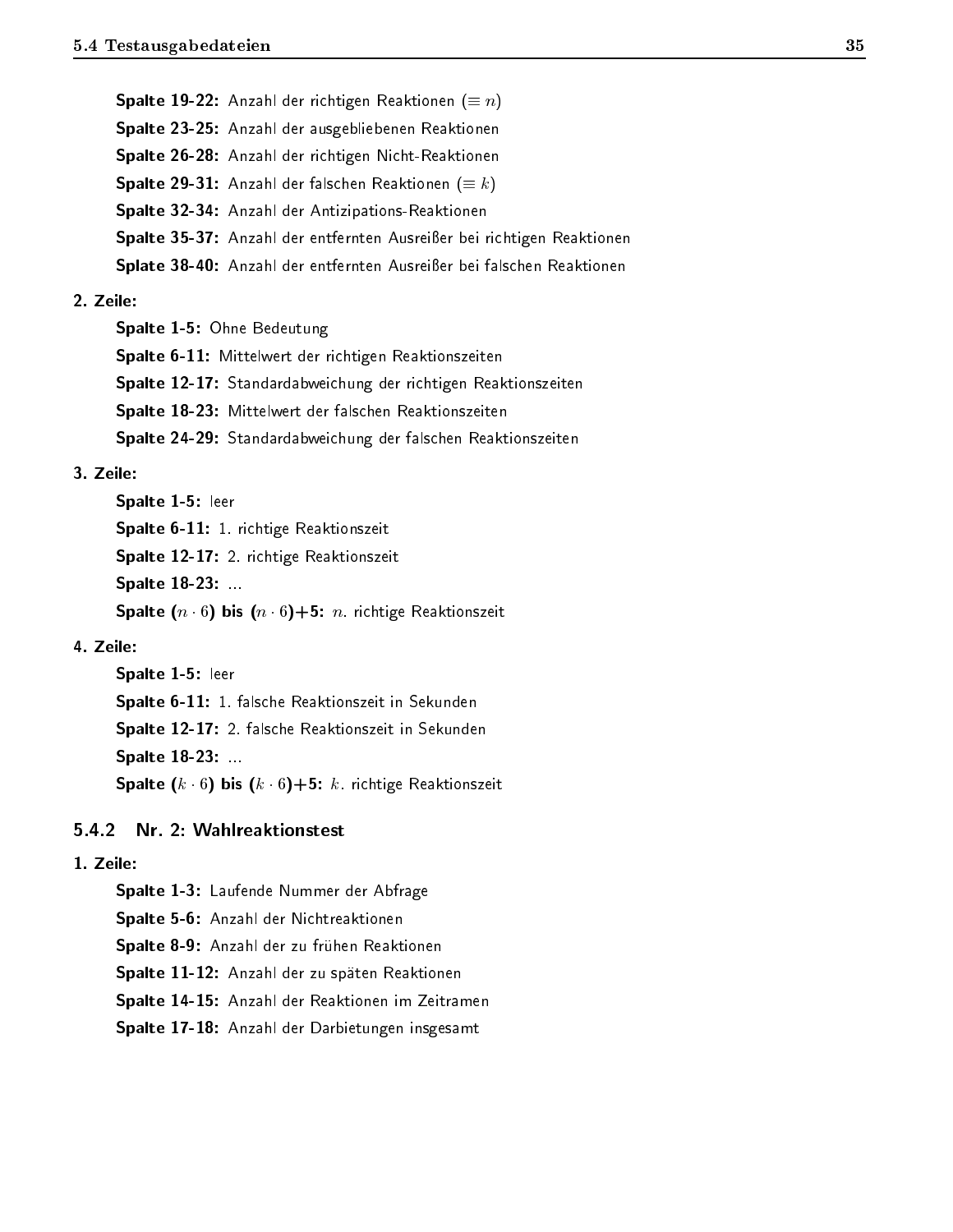- **Spalte 19-22:** Anzahl der richtigen Reaktionen ( $\equiv n$ )
- Spalte 23-25: Anzahl der ausgebliebenen Reaktionen
- Spalte 26-28: Anzahl der richtigen Nicht-Reaktionen
- **Spalte 29-31:** Anzahl der falschen Reaktionen ( $\equiv k$ )
- Spalte 32-34: Anzahl der Antizipations-Reaktionen
- Spalte 35-37: Anzahl der entfernten Ausreißer bei richtigen Reaktionen
- Splate 38-40: Anzahl der entfernten Ausreißer bei falschen Reaktionen

### 2. Zeile:

- Spalte 1-5: Ohne Bedeutung
- Spalte 6-11: Mittelwert der richtigen Reaktionszeiten
- Spalte 12-17: Standardabweichung der richtigen Reaktionszeiten
- Spalte 18-23: Mittelwert der falschen Reaktionszeiten
- Spalte 24-29: Standardabweichung der falschen Reaktionszeiten

### 3 Zeile

Spalte 1-5: leer Spalte 6-11: 1. richtige Reaktionszeit Spalte 12-17: 2 richtige Reaktionszeit **Spalte 18-23: Spalte (** $n \cdot 6$ ) bis  $(n \cdot 6) + 5$ : *n* richtige Reaktionszeit

### 4 Zeile

Spalte 1-5: leer Spalte 6-11: 1. falsche Reaktionszeit in Sekunden Spalte 12-17: 2. falsche Reaktionszeit in Sekunden **Spalte 18-23: Spalte (k**  $\cdot$  6) bis (k  $\cdot$  6)+5: k richtige Reaktionszeit

### 5.4.2 Nr. 2: Wahlreaktionstest

### 1. Zeile:

Spalte 1-3: Laufende Nummer der Abfrage

Spalte 5-6: Anzahl der Nichtreaktionen

- Spalte 8-9: Anzahl der zu frühen Reaktionen
- Spalte 11-12: Anzahl der zu späten Reaktionen
- Spalte 14-15: Anzahl der Reaktionen im Zeitramen
- Spalte 17-18: Anzahl der Darbietungen insgesamt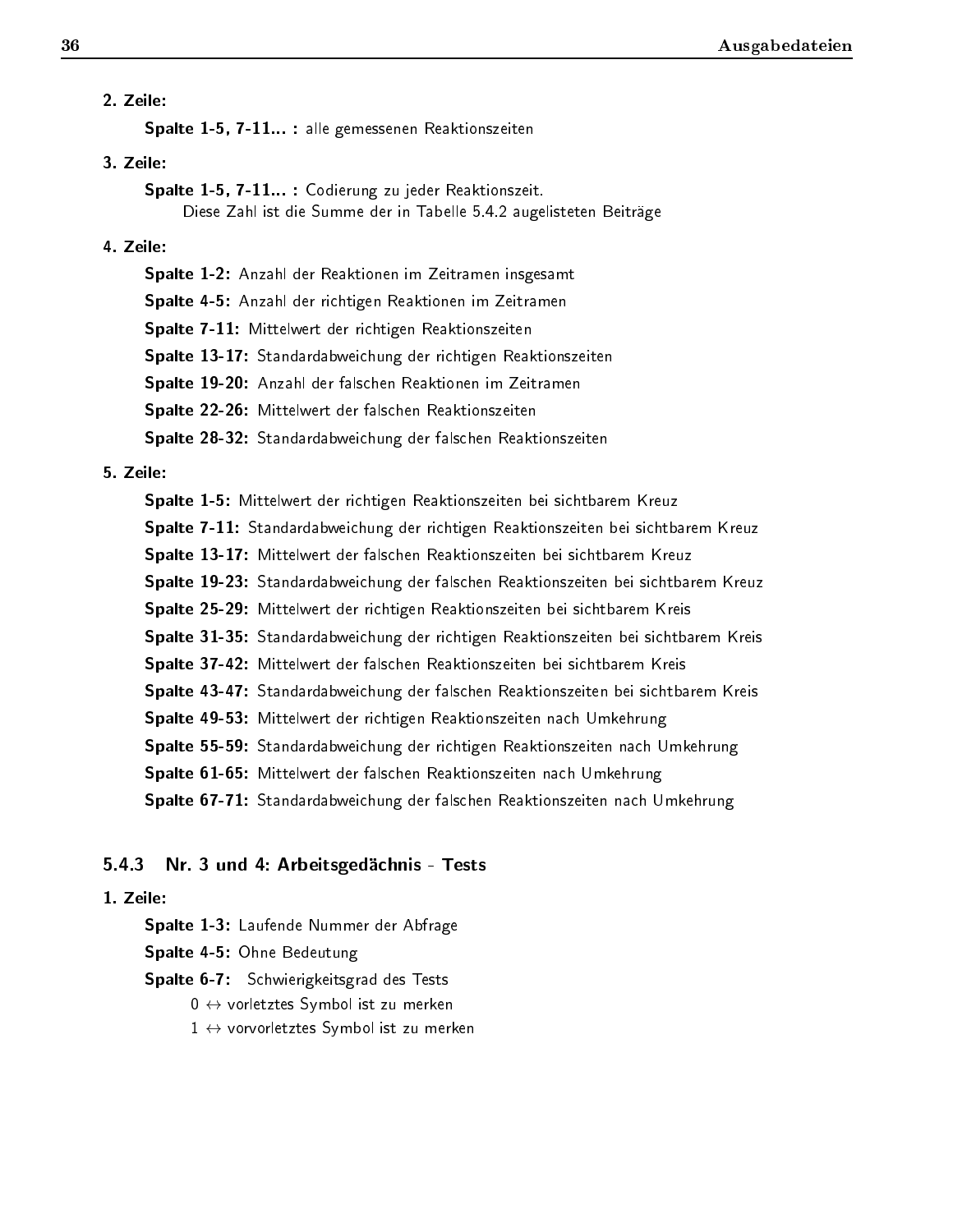### 2. Zeile:

Spalte 1-5, 7-11... : alle gemessenen Reaktionszeiten

### 3. Zeile:

Spalte 1-5, 7-11... : Codierung zu jeder Reaktionszeit. Diese Zahl ist die Summe der in Tabelle 5.4.2 augelisteten Beiträge

### 4 Zeile

Spalte 1-2: Anzahl der Reaktionen im Zeitramen insgesamt

Spalte 4-5: Anzahl der richtigen Reaktionen im Zeitramen

Spalte 7-11: Mittelwert der richtigen Reaktionszeiten

Spalte 13-17: Standardabweichung der richtigen Reaktionszeiten

Spalte 19-20: Anzahl der falschen Reaktionen im Zeitramen

Spalte 22-26: Mittelwert der falschen Reaktionszeiten

Spalte 28-32: Standardabweichung der falschen Reaktionszeiten

### 5. Zeile:

Spalte 1-5: Mittelwert der richtigen Reaktionszeiten bei sichtbarem Kreuz

Spalte 7-11: Standardabweichung der richtigen Reaktionszeiten bei sichtbarem Kreuz

Spalte 13-17: Mittelwert der falschen Reaktionszeiten bei sichtbarem Kreuz

Spalte 19-23: Standardabweichung der falschen Reaktionszeiten bei sichtbarem Kreuz

Spalte 25-29: Mittelwert der richtigen Reaktionszeiten bei sichtbarem Kreis

Spalte 31-35: Standardabweichung der richtigen Reaktionszeiten bei sichtbarem Kreis

Spalte 37-42: Mittelwert der falschen Reaktionszeiten bei sichtbarem Kreis

Spalte 43-47: Standardabweichung der falschen Reaktionszeiten bei sichtbarem Kreis

Spalte 49-53: Mittelwert der richtigen Reaktionszeiten nach Umkehrung

Spalte 55-59: Standardabweichung der richtigen Reaktionszeiten nach Umkehrung

Spalte 61-65: Mittelwert der falschen Reaktionszeiten nach Umkehrung

Spalte 67-71: Standardabweichung der falschen Reaktionszeiten nach Umkehrung

#### 5.4.3 Nr. 3 und 4: Arbeitsgedächnis - Tests

### 1. Zeile:

Spalte 1-3: Laufende Nummer der Abfrage

- Spalte 4-5: Ohne Bedeutung
- **Spalte 6-7:** Schwierigkeitsgrad des Tests
	- $0 \leftrightarrow$  vorletztes Symbol ist zu merken

 $1 \leftrightarrow$  vorvorletztes Symbol ist zu merken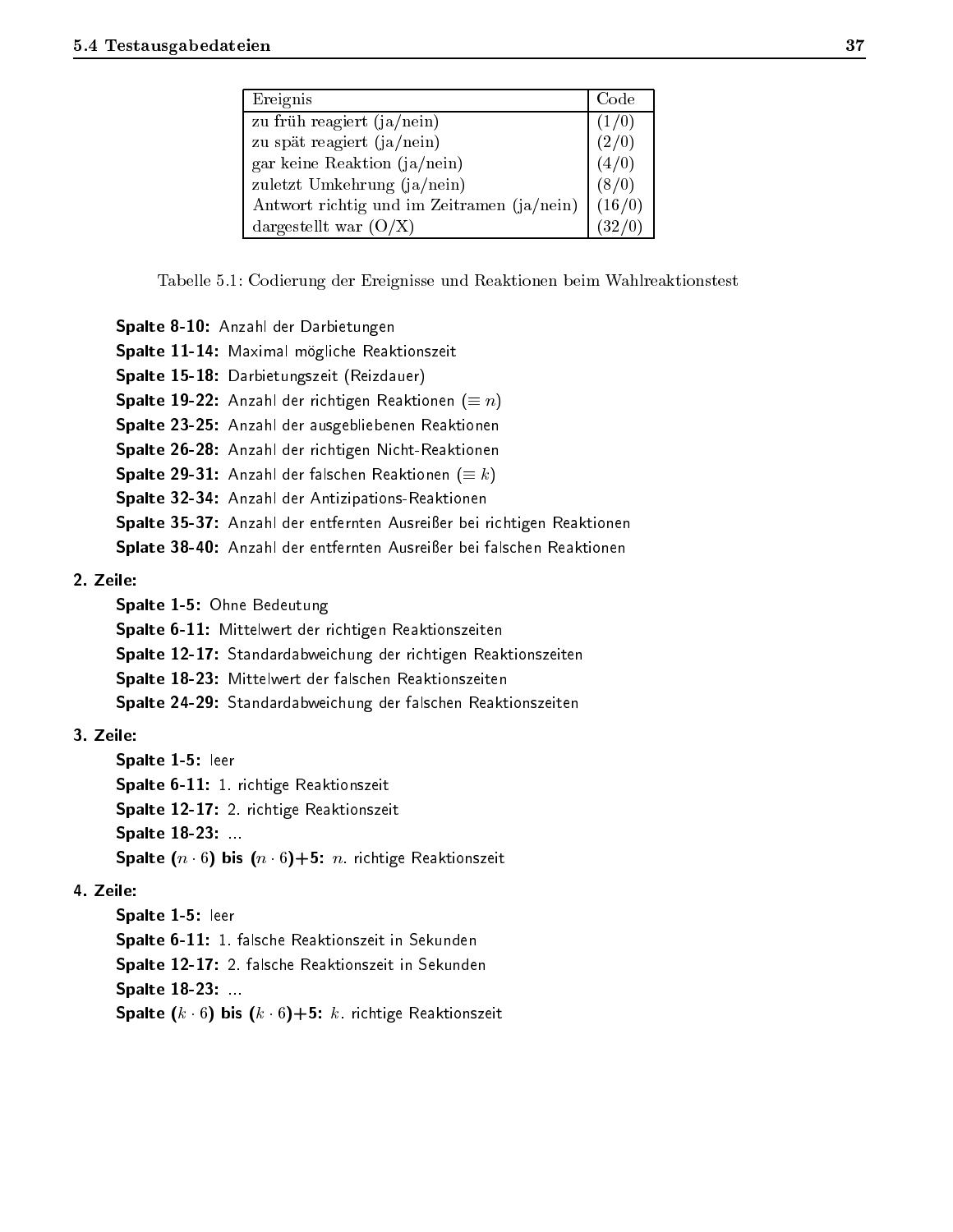| Ereignis                                   | Code                  |
|--------------------------------------------|-----------------------|
| zu früh reagiert $(ia/nein)$               | $\frac{(1/0)}{(2/0)}$ |
| zu spät reagiert (ja/nein)                 |                       |
| gar keine Reaktion (ja/nein)               |                       |
| zuletzt Umkehrung (ja/nein)                | (8/0)                 |
| Antwort richtig und im Zeitramen (ja/nein) | (16/0)                |
| dargestellt war $(O/X)$                    |                       |

Tabelle 5.1: Codierung der Ereignisse und Reaktionen beim Wahlreaktionstest

- Spalte 8-10: Anzahl der Darbietungen
- Spalte 11-14: Maximal mögliche Reaktionszeit
- Spalte 15-18: Darbietungszeit (Reizdauer)
- **Spalte 19-22:** Anzahl der richtigen Reaktionen ( $\equiv n$ )
- Spalte 23-25: Anzahl der ausgebliebenen Reaktionen
- Spalte 26-28: Anzahl der richtigen Nicht-Reaktionen
- **Spalte 29-31:** Anzahl der falschen Reaktionen ( $\equiv k$ )
- Spalte 32-34: Anzahl der Antizipations-Reaktionen
- Spalte 35-37: Anzahl der entfernten Ausreißer bei richtigen Reaktionen
- Splate 38-40: Anzahl der entfernten Ausreißer bei falschen Reaktionen

### 2. Zeile:

- Spalte 1-5: Ohne Bedeutung
- Spalte 6-11: Mittelwert der richtigen Reaktionszeiten
- Spalte 12-17: Standardabweichung der richtigen Reaktionszeiten
- Spalte 18-23: Mittelwert der falschen Reaktionszeiten
- Spalte 24-29: Standardabweichung der falschen Reaktionszeiten

### 3. Zeile:

- Spalte 1-5: leer
- Spalte 6-11: 1. richtige Reaktionszeit
- Spalte 12-17: 2 richtige Reaktionszeit
- **Spalte 18-23:**
- **Spalte (n**  $\cdot$  6) bis (n  $\cdot$  6)+5: n. richtige Reaktionszeit

### 4. Zeile:

- Spalte 1-5: leer
- Spalte 6-11: 1. falsche Reaktionszeit in Sekunden
- Spalte 12-17: 2. falsche Reaktionszeit in Sekunden

**Spalte 18-23:** 

**Spalte (k**  $\cdot$  6) bis (k  $\cdot$  6)+5: k richtige Reaktionszeit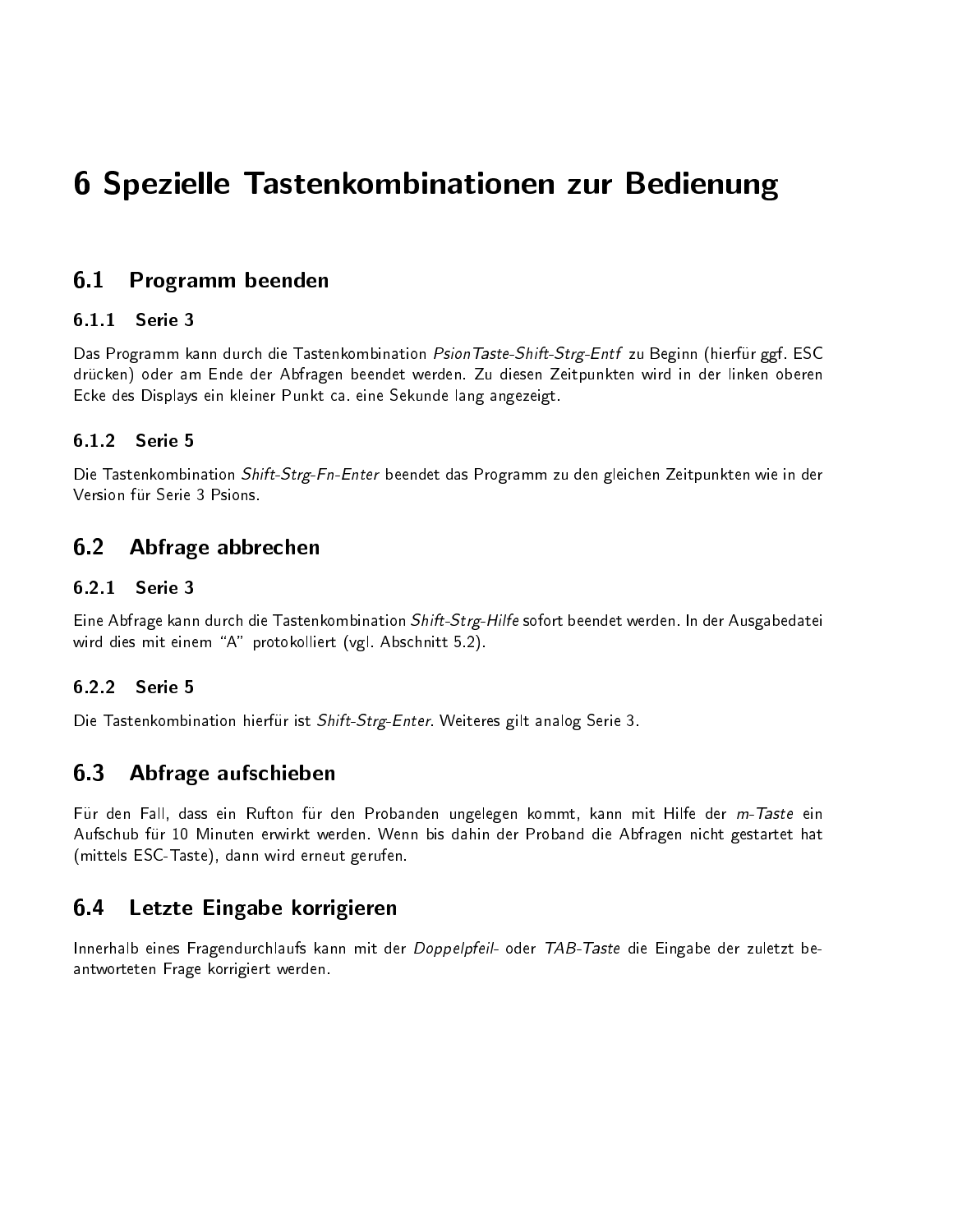## 6 Spezielle Tastenkombinationen zur Bedienung

### $6.1$ Programm beenden

#### $6.1.1$ Serie 3

Das Programm kann durch die Tastenkombination Psion Taste-Shift-Strg-Entf zu Beginn (hierfür ggf. ESC drücken) oder am Ende der Abfragen beendet werden. Zu diesen Zeitpunkten wird in der linken oberen Ecke des Displays ein kleiner Punkt ca. eine Sekunde lang angezeigt.

#### $6.1.2$ Serie 5

Die Tastenkombination Shift-Strg-Fn-Enter beendet das Programm zu den gleichen Zeitpunkten wie in der Version für Serie 3 Psions.

#### $6.2$ Abfrage abbrechen

#### $6.2.1$ Serie 3

Eine Abfrage kann durch die Tastenkombination Shift-Strg-Hilfe sofort beendet werden. In der Ausgabedatei wird dies mit einem "A" protokolliert (vgl. Abschnitt 5.2).

#### $6.2.2$ Serie 5

Die Tastenkombination hierfür ist Shift-Strg-Enter. Weiteres gilt analog Serie 3.

#### $6.3$ Abfrage aufschieben

Für den Fall, dass ein Rufton für den Probanden ungelegen kommt, kann mit Hilfe der m-Taste ein Aufschub für 10 Minuten erwirkt werden. Wenn bis dahin der Proband die Abfragen nicht gestartet hat (mittels ESC-Taste), dann wird erneut gerufen.

### Letzte Eingabe korrigieren  $6.4$

Innerhalb eines Fragendurchlaufs kann mit der Doppelpfeil- oder TAB-Taste die Eingabe der zuletzt beantworteten Frage korrigiert werden.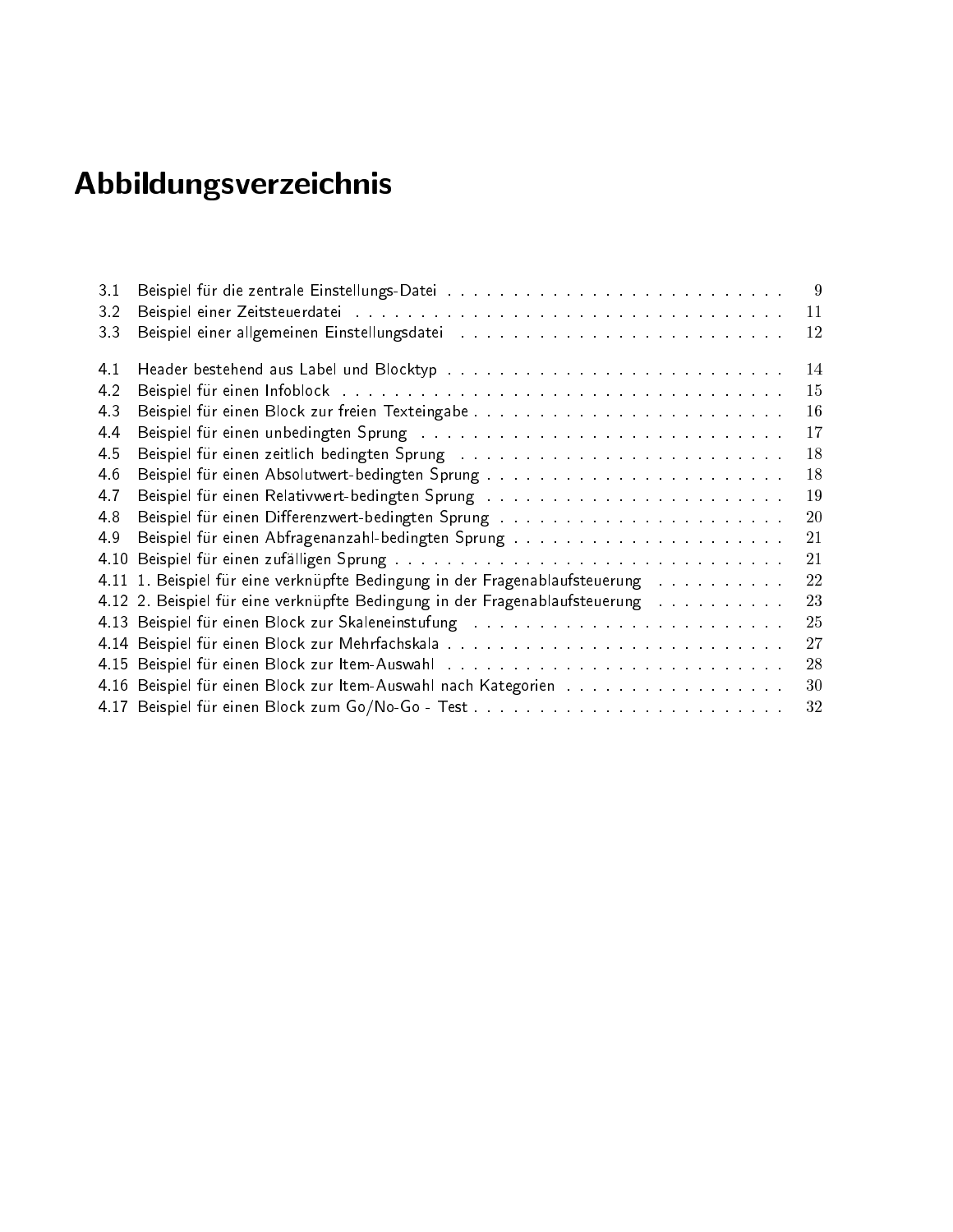# Abbildungsverzeichnis

| 31<br>32 | Beispiel für die zentrale Einstellungs-Datei von der anderen anderen anderen anderen<br>Beispiel einer Zeitsteuerdatei der einer einer einer einer einer einer einer einer einer einer | 9<br>11 |
|----------|----------------------------------------------------------------------------------------------------------------------------------------------------------------------------------------|---------|
| 33       | Beispiel einer allgemeinen Einstellungsdatei der aus an aus an aus aus aus aus aus aus aus                                                                                             | 12      |
| 4 1      | Header bestehend aus Label und Blocktyp (Fig. 1991) and a subset of the state of the state of                                                                                          | 14      |
| 4.2      | Beispiel für einen Infoblock auf dem anderen auf dem anderen auf dem anten auf dem anderen                                                                                             | 15      |
| 4.3      |                                                                                                                                                                                        | 16      |
| 4.4      | Beispiel für einen unbedingten Sprung and anderen anderen anderen anderen Beispiel für einen auf                                                                                       | 17      |
| 45       | Beispiel für einen zeitlich bedingten Sprung der aus an an an an an an an an an an an                                                                                                  | 18      |
| 46       |                                                                                                                                                                                        | 18      |
| 47       |                                                                                                                                                                                        | 19      |
| 48       | Beispiel für einen Differenzwert-bedingten Sprung von der anderen anderen anderen Beispiel für einen auf                                                                               | 20      |
| 49       | Beispiel für einen Abfragenanzahl-bedingten Sprung von den anderen anderen anderen                                                                                                     | 21      |
| 4 10     | Beispiel für einen zufälligen Sprung von dem anderen anderen anderen anderen Beispiel in der anten anderen                                                                             | 21      |
|          | 4.11 1. Beispiel für eine verknüpfte Bedingung in der Fragenablaufsteuerung and ander alle alle                                                                                        | 22      |
|          | 4.12 2. Beispiel für eine verknüpfte Bedingung in der Fragenablaufsteuerung and ander alle and                                                                                         | 23      |
|          | 4.13 Beispiel für einen Block zur Skaleneinstufung einer aus einer aus einer aus einer auferenden                                                                                      | 25      |
|          |                                                                                                                                                                                        | 27      |
|          | 4.15 Beispiel für einen Block zur Item-Auswahl aus and aus aus aus aus aus aus aus aus aus                                                                                             | 28      |
|          |                                                                                                                                                                                        | 30      |
|          |                                                                                                                                                                                        | 32      |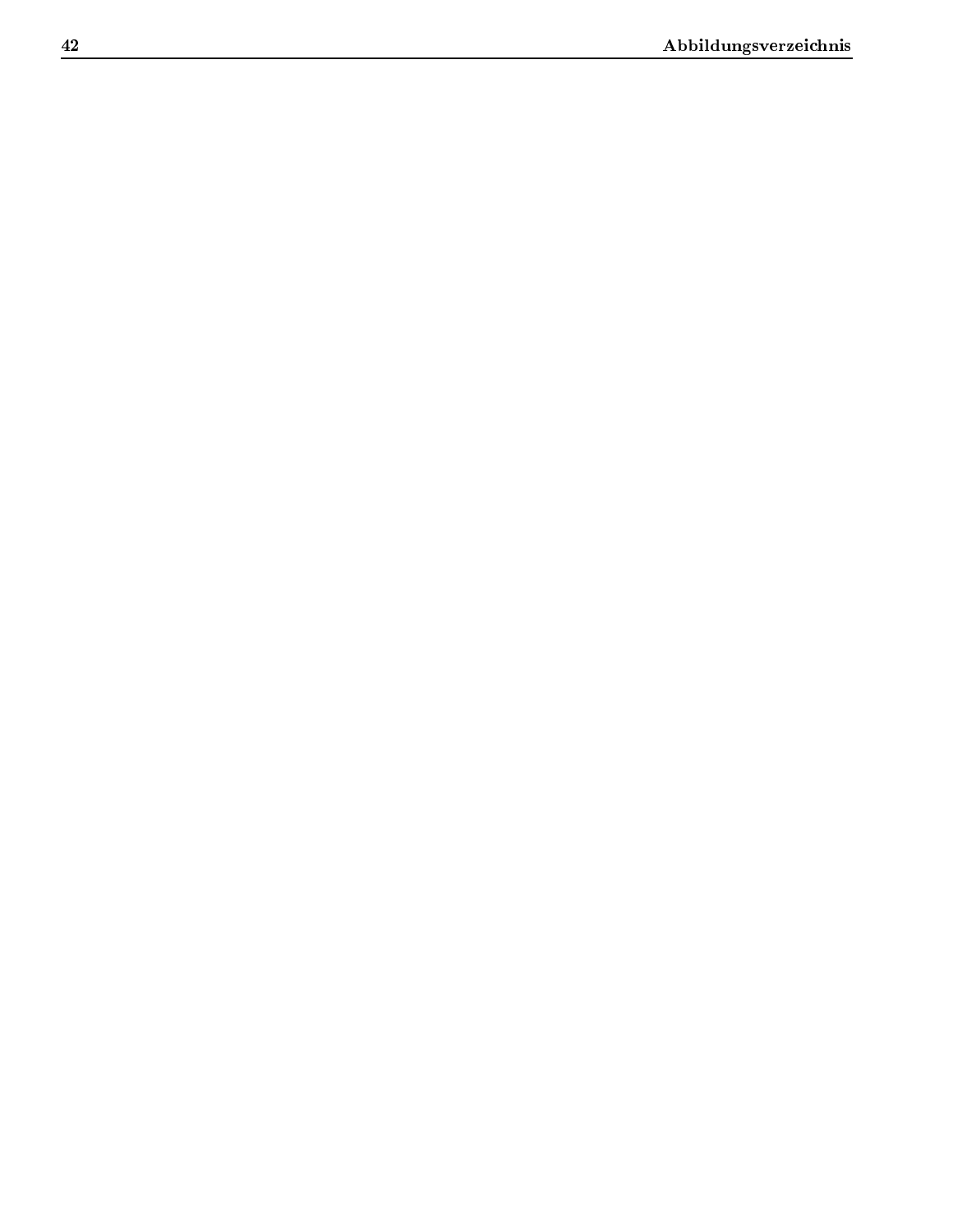<u> 1980 - Johann Barbara, martxa amerikan per</u>